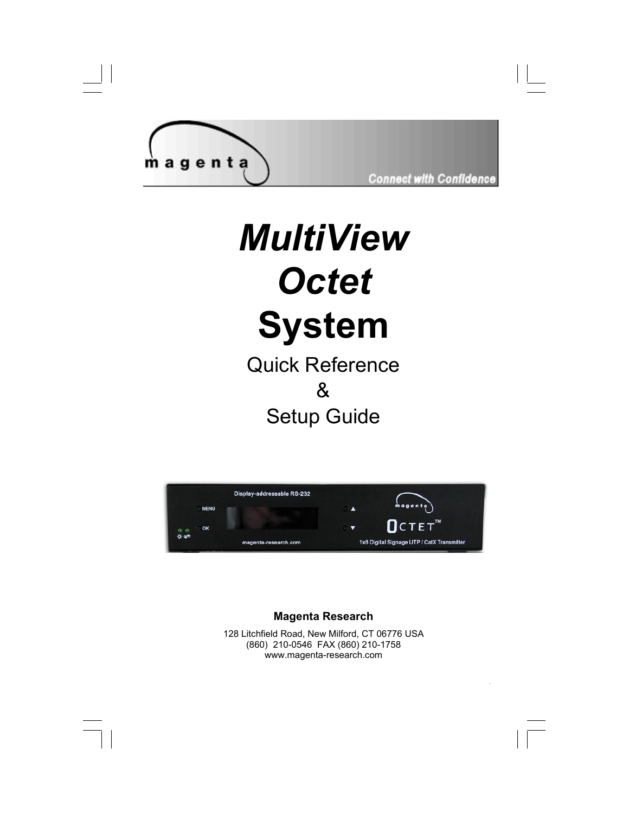

**Connect with Confidence** 

**.** 

# *MultiView Octet*  **System**

Quick Reference & Setup Guide



#### **Magenta Research**

128 Litchfield Road, New Milford, CT 06776 USA (860) 210-0546 FAX (860) 210-1758 www.magenta-research.com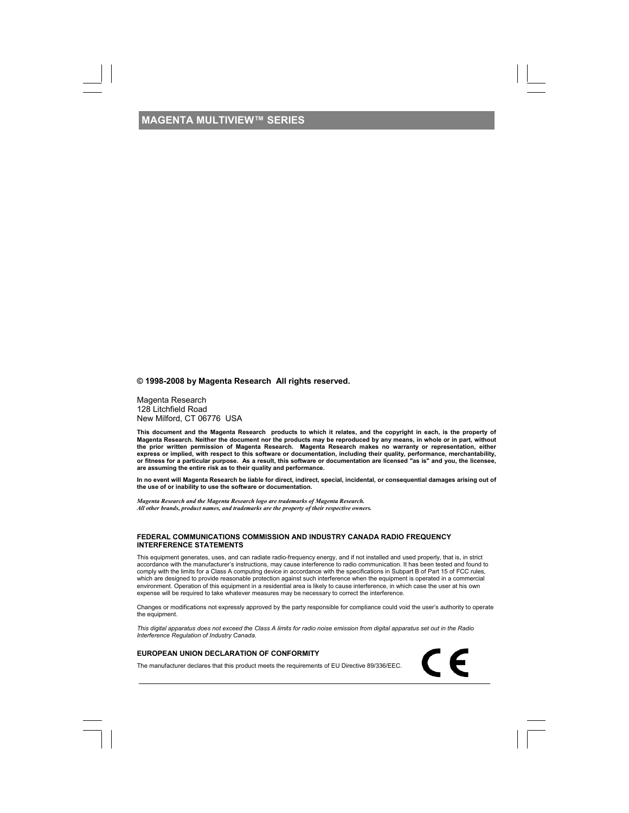**© 1998-2008 by Magenta Research All rights reserved.** 

Magenta Research 128 Litchfield Road New Milford, CT 06776 USA

This document and the Magenta Research products to which it relates, and the copyright in each, is the property of<br>Magenta Research. Neither the document nor the products may be reproduced by any means, in whole or in part **are assuming the entire risk as to their quality and performance.** 

**In no event will Magenta Research be liable for direct, indirect, special, incidental, or consequential damages arising out of the use of or inability to use the software or documentation.** 

*Magenta Research and the Magenta Research logo are trademarks of Magenta Research. All other brands, product names, and trademarks are the property of their respective owners.* 

#### **FEDERAL COMMUNICATIONS COMMISSION AND INDUSTRY CANADA RADIO FREQUENCY INTERFERENCE STATEMENTS**

This equipment generates, uses, and can radiate radio-frequency energy, and if not installed and used properly, that is, in strict accordance with the manufacturer's instructions, may cause interference to radio communication. It has been tested and found to comply with the limits for a Class A computing device in accordance with the specifications in Subpart B of Part 15 of FCC rules, which are designed to provide reasonable protection against such interference when the equipment is operated in a commercial<br>environment. Operation of this equipment in a residential area is likely to cause interference, i expense will be required to take whatever measures may be necessary to correct the interference.

Changes or modifications not expressly approved by the party responsible for compliance could void the user's authority to operate the equipment.

CE

*This digital apparatus does not exceed the Class A limits for radio noise emission from digital apparatus set out in the Radio Interference Regulation of Industry Canada.* 

#### **EUROPEAN UNION DECLARATION OF CONFORMITY**

The manufacturer declares that this product meets the requirements of EU Directive 89/336/EEC.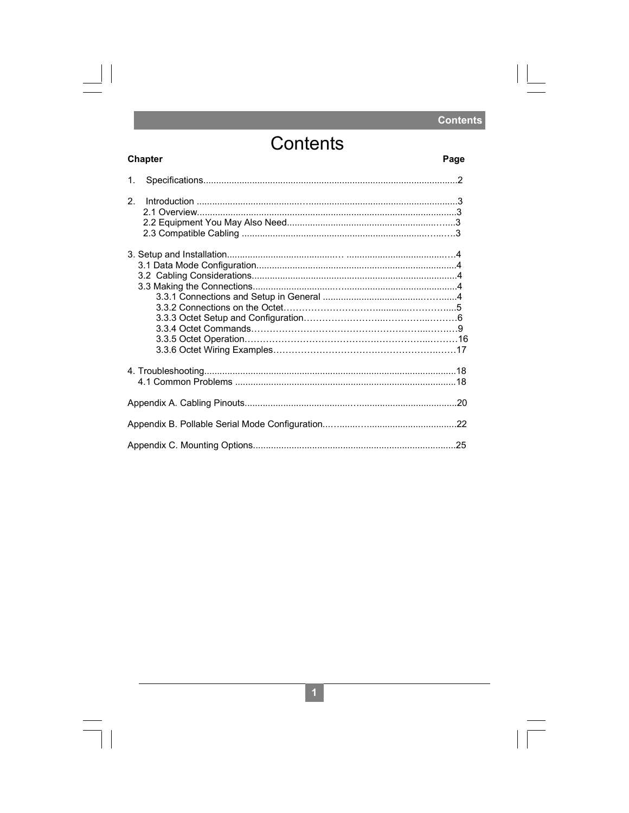### **Contents**

Page

 $\Box$ 

 $\sqrt{1}$ 

## Contents

 $\begin{array}{c} \hline \end{array}$ 

 $\begin{array}{c} \hline \end{array}$ 

**Chapter** 

| 1.             |  |
|----------------|--|
| 2 <sub>1</sub> |  |
|                |  |
|                |  |
|                |  |
|                |  |
|                |  |

 $\boxed{1}$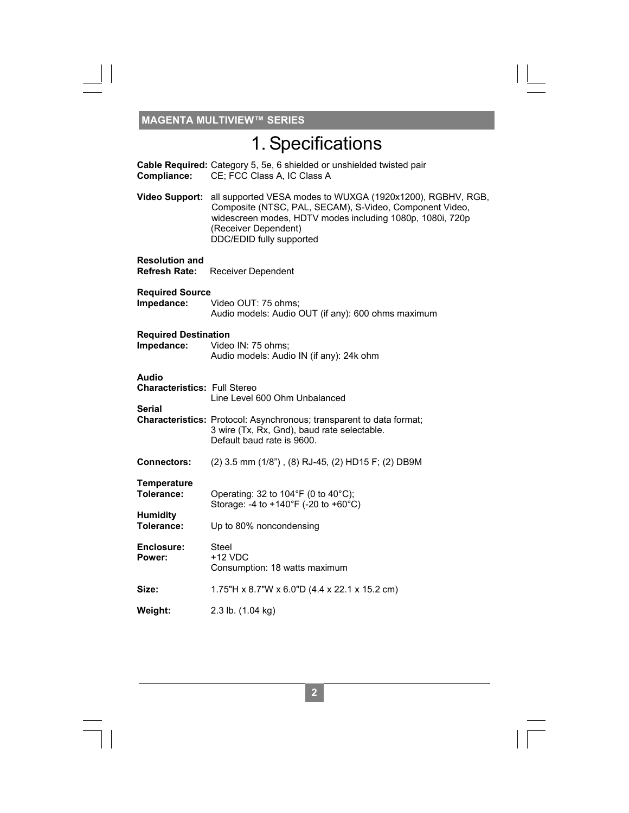$\frac{\hphantom{a}}{\hphantom{a}}\hphantom{a}}\hphantom{a}$ 

## 1. Specifications

 $\overline{\Gamma}$ 

| Compliance:                                                   | Cable Required: Category 5, 5e, 6 shielded or unshielded twisted pair<br>CE; FCC Class A, IC Class A                                                                                                                                   |
|---------------------------------------------------------------|----------------------------------------------------------------------------------------------------------------------------------------------------------------------------------------------------------------------------------------|
| <b>Video Support:</b>                                         | all supported VESA modes to WUXGA (1920x1200), RGBHV, RGB,<br>Composite (NTSC, PAL, SECAM), S-Video, Component Video,<br>widescreen modes, HDTV modes including 1080p, 1080i, 720p<br>(Receiver Dependent)<br>DDC/EDID fully supported |
| <b>Resolution and</b><br><b>Refresh Rate:</b>                 | Receiver Dependent                                                                                                                                                                                                                     |
| <b>Required Source</b><br>Impedance:                          | Video OUT: 75 ohms;<br>Audio models: Audio OUT (if any): 600 ohms maximum                                                                                                                                                              |
| <b>Required Destination</b><br>Impedance:                     | Video IN: 75 ohms;<br>Audio models: Audio IN (if any): 24k ohm                                                                                                                                                                         |
| Audio<br><b>Characteristics: Full Stereo</b><br><b>Serial</b> | Line Level 600 Ohm Unbalanced<br>Characteristics: Protocol: Asynchronous; transparent to data format;<br>3 wire (Tx, Rx, Gnd), baud rate selectable.<br>Default baud rate is 9600.                                                     |
| <b>Connectors:</b>                                            | (2) 3.5 mm (1/8"), (8) RJ-45, (2) HD15 F; (2) DB9M                                                                                                                                                                                     |
| <b>Temperature</b><br>Tolerance:                              | Operating: 32 to $104^{\circ}F$ (0 to $40^{\circ}C$ );<br>Storage: -4 to +140°F (-20 to +60°C)                                                                                                                                         |
| <b>Humidity</b><br>Tolerance:                                 | Up to 80% noncondensing                                                                                                                                                                                                                |
| Enclosure:<br>Power:                                          | Steel<br>$+12$ VDC<br>Consumption: 18 watts maximum                                                                                                                                                                                    |
| Size:                                                         | 1.75"H x 8.7"W x 6.0"D (4.4 x 22.1 x 15.2 cm)                                                                                                                                                                                          |
| Weight:                                                       | 2.3 lb. (1.04 kg)                                                                                                                                                                                                                      |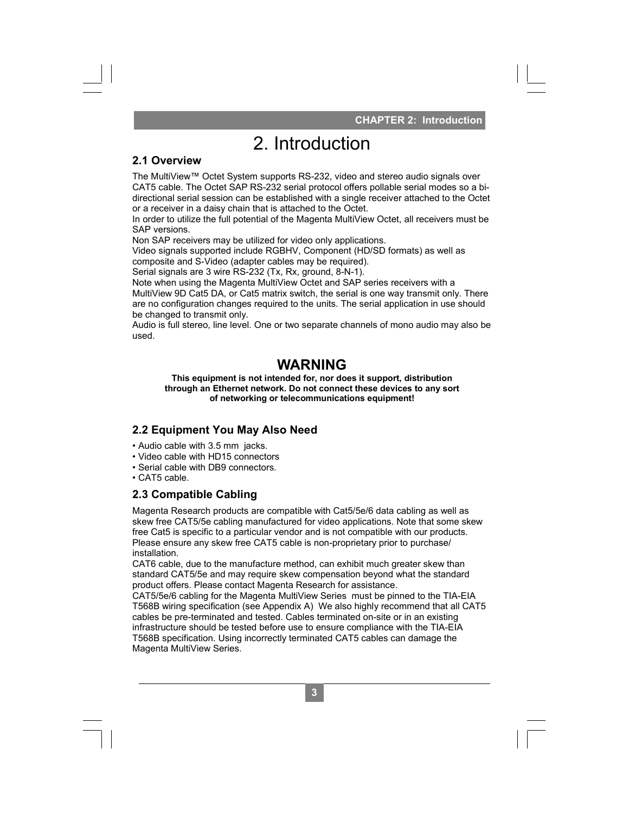**CHAPTER 2: Introduction** 

#### **2.1 Overview**

The MultiView™ Octet System supports RS-232, video and stereo audio signals over CAT5 cable. The Octet SAP RS-232 serial protocol offers pollable serial modes so a bidirectional serial session can be established with a single receiver attached to the Octet or a receiver in a daisy chain that is attached to the Octet.

In order to utilize the full potential of the Magenta MultiView Octet, all receivers must be SAP versions.

Non SAP receivers may be utilized for video only applications.

Video signals supported include RGBHV, Component (HD/SD formats) as well as composite and S-Video (adapter cables may be required).

Serial signals are 3 wire RS-232 (Tx, Rx, ground, 8-N-1).

Note when using the Magenta MultiView Octet and SAP series receivers with a

MultiView 9D Cat5 DA, or Cat5 matrix switch, the serial is one way transmit only. There are no configuration changes required to the units. The serial application in use should be changed to transmit only.

Audio is full stereo, line level. One or two separate channels of mono audio may also be used.

### **WARNING**

**This equipment is not intended for, nor does it support, distribution through an Ethernet network. Do not connect these devices to any sort of networking or telecommunications equipment!** 

#### **2.2 Equipment You May Also Need**

- Audio cable with 3.5 mm jacks.
- Video cable with HD15 connectors
- Serial cable with DB9 connectors.
- CAT5 cable.

#### **2.3 Compatible Cabling**

Magenta Research products are compatible with Cat5/5e/6 data cabling as well as skew free CAT5/5e cabling manufactured for video applications. Note that some skew free Cat5 is specific to a particular vendor and is not compatible with our products. Please ensure any skew free CAT5 cable is non-proprietary prior to purchase/ installation.

CAT6 cable, due to the manufacture method, can exhibit much greater skew than standard CAT5/5e and may require skew compensation beyond what the standard product offers. Please contact Magenta Research for assistance.

CHAPTER 2: Introduction<br>
2. Introduction<br>
m supports RS-232 video and stereo audio signals over<br>
RS-232 serial protocol offers poliable serial modes so a bital<br>
that is attached to the Octet.<br>
Ilized for video and stereo a CAT5/5e/6 cabling for the Magenta MultiView Series must be pinned to the TIA-EIA T568B wiring specification (see Appendix A) We also highly recommend that all CAT5 cables be pre-terminated and tested. Cables terminated on-site or in an existing infrastructure should be tested before use to ensure compliance with the TIA-EIA T568B specification. Using incorrectly terminated CAT5 cables can damage the Magenta MultiView Series.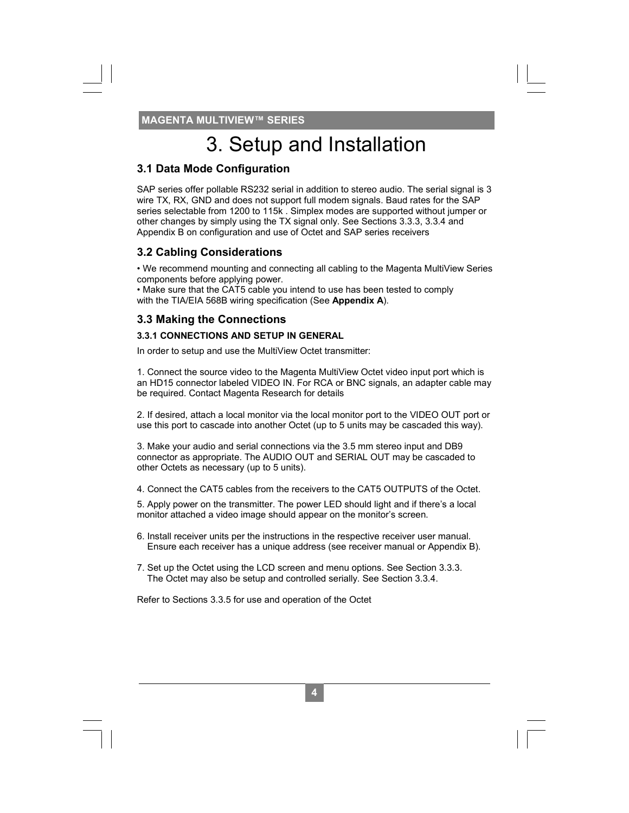### 3. Setup and Installation

#### **3.1 Data Mode Configuration**

SAP series offer pollable RS232 serial in addition to stereo audio. The serial signal is 3 wire TX, RX, GND and does not support full modem signals. Baud rates for the SAP series selectable from 1200 to 115k . Simplex modes are supported without jumper or other changes by simply using the TX signal only. See Sections 3.3.3, 3.3.4 and Appendix B on configuration and use of Octet and SAP series receivers

#### **3.2 Cabling Considerations**

• We recommend mounting and connecting all cabling to the Magenta MultiView Series components before applying power.

• Make sure that the CAT5 cable you intend to use has been tested to comply with the TIA/EIA 568B wiring specification (See **Appendix A**).

#### **3.3 Making the Connections**

#### **3.3.1 CONNECTIONS AND SETUP IN GENERAL**

In order to setup and use the MultiView Octet transmitter:

1. Connect the source video to the Magenta MultiView Octet video input port which is an HD15 connector labeled VIDEO IN. For RCA or BNC signals, an adapter cable may be required. Contact Magenta Research for details

2. If desired, attach a local monitor via the local monitor port to the VIDEO OUT port or use this port to cascade into another Octet (up to 5 units may be cascaded this way).

3. Make your audio and serial connections via the 3.5 mm stereo input and DB9 connector as appropriate. The AUDIO OUT and SERIAL OUT may be cascaded to other Octets as necessary (up to 5 units).

4. Connect the CAT5 cables from the receivers to the CAT5 OUTPUTS of the Octet.

5. Apply power on the transmitter. The power LED should light and if there's a local monitor attached a video image should appear on the monitor's screen.

6. Install receiver units per the instructions in the respective receiver user manual. Ensure each receiver has a unique address (see receiver manual or Appendix B).

**6 4** 

7. Set up the Octet using the LCD screen and menu options. See Section 3.3.3. The Octet may also be setup and controlled serially. See Section 3.3.4.

Refer to Sections 3.3.5 for use and operation of the Octet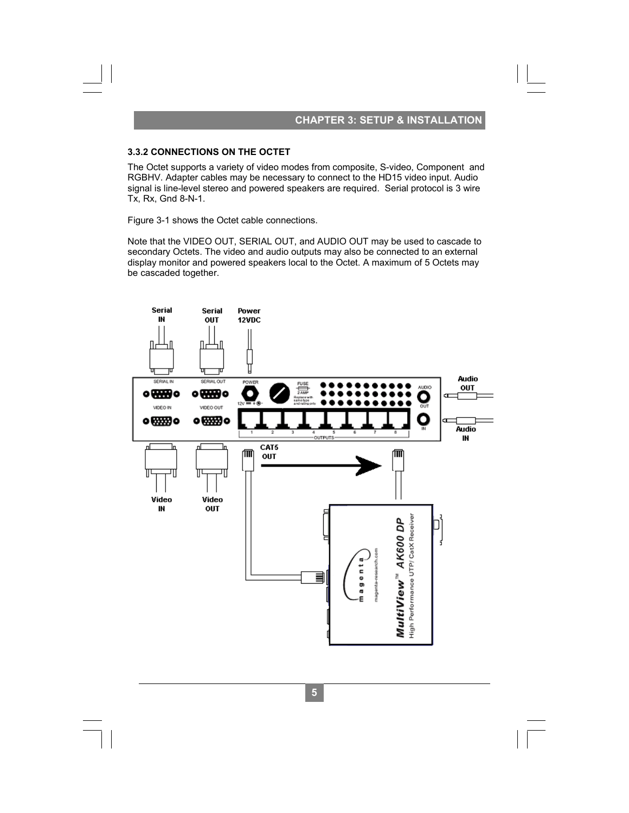### **CHAPTER 3: SETUP & INSTALLATION**

The Octet supports a variety of video modes from composite, S-video, Component and RGBHV. Adapter cables may be necessary to connect to the HD15 video input. Audio signal is line-level stereo and powered speakers are required. Serial protocol is 3 wire Tx, Rx, Gnd 8-N-1.

Figure 3-1 shows the Octet cable connections.

Note that the VIDEO OUT, SERIAL OUT, and AUDIO OUT may be used to cascade to secondary Octets. The video and audio outputs may also be connected to an external display monitor and powered speakers local to the Octet. A maximum of 5 Octets may be cascaded together.



 $\overline{5}$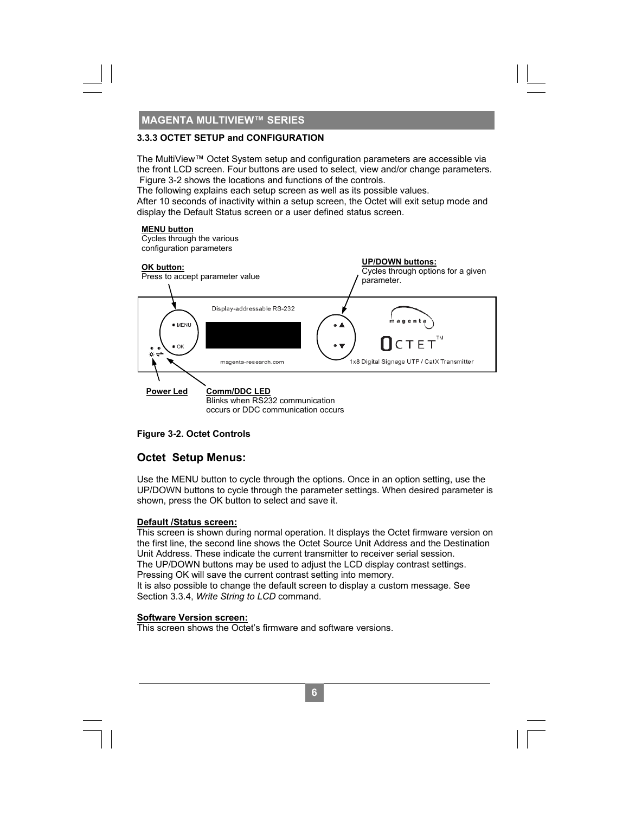The MultiView™ Octet System setup and configuration parameters are accessible via the front LCD screen. Four buttons are used to select, view and/or change parameters. Figure 3-2 shows the locations and functions of the controls.

The following explains each setup screen as well as its possible values.

After 10 seconds of inactivity within a setup screen, the Octet will exit setup mode and display the Default Status screen or a user defined status screen.

#### **MENU button**

Cycles through the various configuration parameters



#### **Figure 3-2. Octet Controls**

#### **Octet Setup Menus:**

Use the MENU button to cycle through the options. Once in an option setting, use the UP/DOWN buttons to cycle through the parameter settings. When desired parameter is shown, press the OK button to select and save it.

#### **Default /Status screen:**

This screen is shown during normal operation. It displays the Octet firmware version on the first line, the second line shows the Octet Source Unit Address and the Destination Unit Address. These indicate the current transmitter to receiver serial session. The UP/DOWN buttons may be used to adjust the LCD display contrast settings. Pressing OK will save the current contrast setting into memory. It is also possible to change the default screen to display a custom message. See Section 3.3.4, *Write String to LCD* command.

**8** 

#### **Software Version screen:**

This screen shows the Octet's firmware and software versions.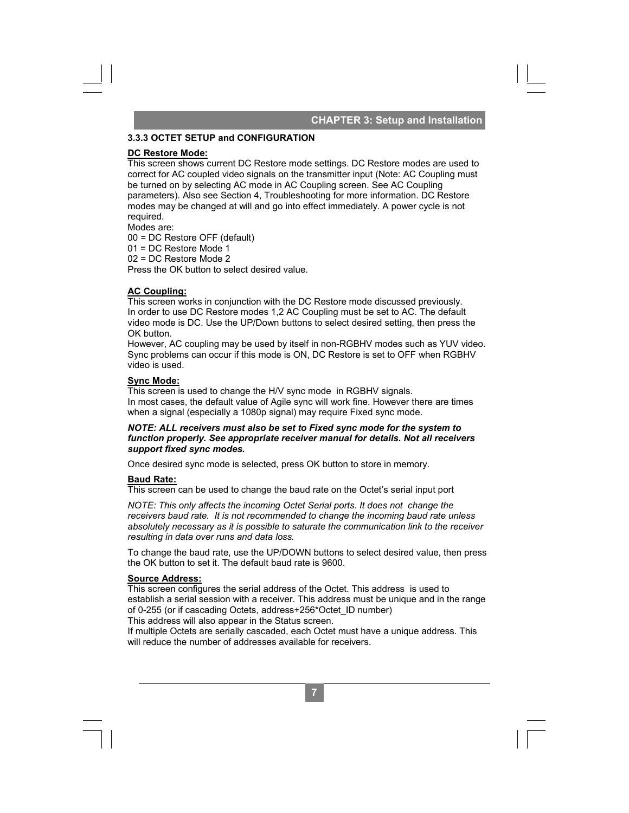#### **CHAPTER 3: Setup and Installation**

#### **3.3.3 OCTET SETUP and CONFIGURATION**

#### **DC Restore Mode:**

This screen shows current DC Restore mode settings. DC Restore modes are used to correct for AC coupled video signals on the transmitter input (Note: AC Coupling must be turned on by selecting AC mode in AC Coupling screen. See AC Coupling parameters). Also see Section 4, Troubleshooting for more information. DC Restore modes may be changed at will and go into effect immediately. A power cycle is not required. **CHAPTER 3: Setup and Installation**<br> **Settings.** DC Restore modes are used to<br>
cansmitter input (Note: AC Coupling must<br>
pulping screen. See AC Coupling must<br>
pulping screen. See AC Coupling<br>
for more information. DC Resto

Modes are:

00 = DC Restore OFF (default)

01 = DC Restore Mode 1 02 = DC Restore Mode 2

Press the OK button to select desired value.

#### **AC Coupling:**

This screen works in conjunction with the DC Restore mode discussed previously. In order to use DC Restore modes 1,2 AC Coupling must be set to AC. The default video mode is DC. Use the UP/Down buttons to select desired setting, then press the OK button.

However, AC coupling may be used by itself in non-RGBHV modes such as YUV video. Sync problems can occur if this mode is ON, DC Restore is set to OFF when RGBHV video is used.

#### **Sync Mode:**

This screen is used to change the H/V sync mode in RGBHV signals. In most cases, the default value of Agile sync will work fine. However there are times when a signal (especially a 1080p signal) may require Fixed sync mode.

#### *NOTE: ALL receivers must also be set to Fixed sync mode for the system to function properly. See appropriate receiver manual for details. Not all receivers support fixed sync modes.*

Once desired sync mode is selected, press OK button to store in memory.

#### **Baud Rate:**

This screen can be used to change the baud rate on the Octet's serial input port

*NOTE: This only affects the incoming Octet Serial ports. It does not change the receivers baud rate. It is not recommended to change the incoming baud rate unless absolutely necessary as it is possible to saturate the communication link to the receiver resulting in data over runs and data loss.* 

To change the baud rate, use the UP/DOWN buttons to select desired value, then press the OK button to set it. The default baud rate is 9600.

#### **Source Address:**

This screen configures the serial address of the Octet. This address is used to establish a serial session with a receiver. This address must be unique and in the range of 0-255 (or if cascading Octets, address+256\*Octet\_ID number) This address will also appear in the Status screen.

If multiple Octets are serially cascaded, each Octet must have a unique address. This will reduce the number of addresses available for receivers.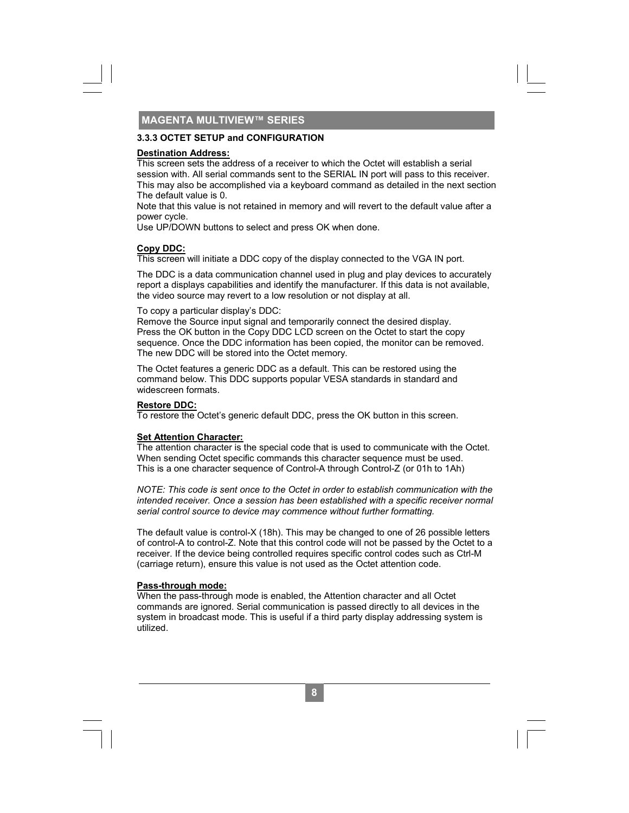#### **3.3.3 OCTET SETUP and CONFIGURATION**

#### **Destination Address:**

This screen sets the address of a receiver to which the Octet will establish a serial session with. All serial commands sent to the SERIAL IN port will pass to this receiver. This may also be accomplished via a keyboard command as detailed in the next section The default value is 0.

Note that this value is not retained in memory and will revert to the default value after a power cycle.

Use UP/DOWN buttons to select and press OK when done.

#### **Copy DDC:**

This screen will initiate a DDC copy of the display connected to the VGA IN port.

The DDC is a data communication channel used in plug and play devices to accurately report a displays capabilities and identify the manufacturer. If this data is not available, the video source may revert to a low resolution or not display at all.

To copy a particular display's DDC:

Remove the Source input signal and temporarily connect the desired display. Press the OK button in the Copy DDC LCD screen on the Octet to start the copy sequence. Once the DDC information has been copied, the monitor can be removed. The new DDC will be stored into the Octet memory.

The Octet features a generic DDC as a default. This can be restored using the command below. This DDC supports popular VESA standards in standard and widescreen formats.

#### **Restore DDC:**

To restore the Octet's generic default DDC, press the OK button in this screen.

#### **Set Attention Character:**

The attention character is the special code that is used to communicate with the Octet. When sending Octet specific commands this character sequence must be used. This is a one character sequence of Control-A through Control-Z (or 01h to 1Ah)

*NOTE: This code is sent once to the Octet in order to establish communication with the intended receiver. Once a session has been established with a specific receiver normal serial control source to device may commence without further formatting.* 

The default value is control-X (18h). This may be changed to one of 26 possible letters of control-A to control-Z. Note that this control code will not be passed by the Octet to a receiver. If the device being controlled requires specific control codes such as Ctrl-M (carriage return), ensure this value is not used as the Octet attention code.

#### **Pass-through mode:**

When the pass-through mode is enabled, the Attention character and all Octet commands are ignored. Serial communication is passed directly to all devices in the system in broadcast mode. This is useful if a third party display addressing system is utilized.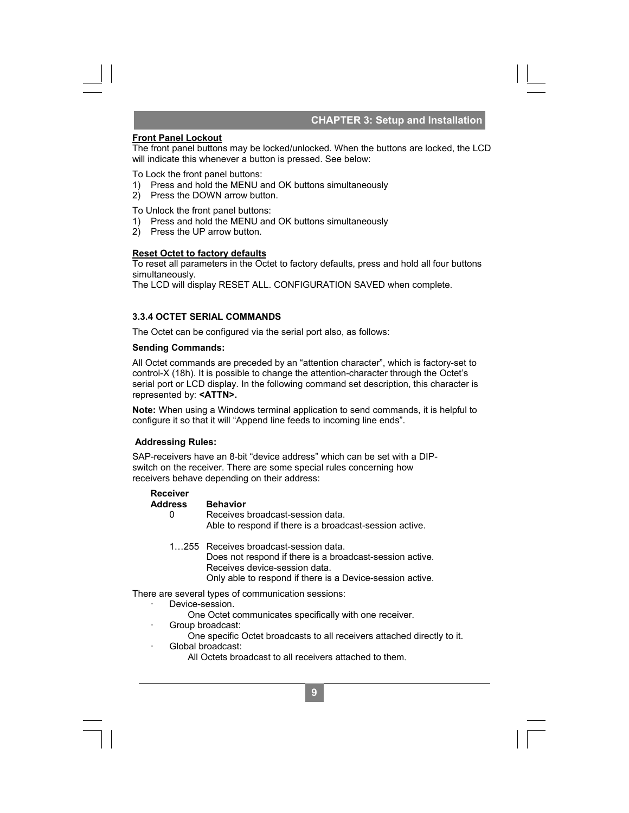#### **CHAPTER 3: Setup and Installation**

#### **Front Panel Lockout**

The front panel buttons may be locked/unlocked. When the buttons are locked, the LCD will indicate this whenever a button is pressed. See below:

To Lock the front panel buttons:

- 1) Press and hold the MENU and OK buttons simultaneously
- 2) Press the DOWN arrow button.

To Unlock the front panel buttons:

- 1) Press and hold the MENU and OK buttons simultaneously
- 2) Press the UP arrow button.

#### **Reset Octet to factory defaults**

To reset all parameters in the Octet to factory defaults, press and hold all four buttons simultaneously.

The LCD will display RESET ALL. CONFIGURATION SAVED when complete.

#### **3.3.4 OCTET SERIAL COMMANDS**

The Octet can be configured via the serial port also, as follows:

#### **Sending Commands:**

**CHAPTER 3: Setup and Installation**<br>
cked. When the buttons are locked, the LC<br>
ed. See below:<br>
ons simultaneously<br>
ons simultaneously<br>
ons simultaneously<br>
ons simultaneously<br>
ons simultaneously<br>
ons simultaneously<br>
ons an All Octet commands are preceded by an "attention character", which is factory-set to control-X (18h). It is possible to change the attention-character through the Octet's serial port or LCD display. In the following command set description, this character is represented by: **<ATTN>.** 

**Note:** When using a Windows terminal application to send commands, it is helpful to configure it so that it will "Append line feeds to incoming line ends".

#### **Addressing Rules:**

SAP-receivers have an 8-bit "device address" which can be set with a DIPswitch on the receiver. There are some special rules concerning how receivers behave depending on their address:

#### **Receiver**

 **Address Behavior** 

- 0 Receives broadcast-session data. Able to respond if there is a broadcast-session active.
- 1…255 Receives broadcast-session data. Does not respond if there is a broadcast-session active. Receives device-session data. Only able to respond if there is a Device-session active.

#### There are several types of communication sessions:

- Device-session.
	- One Octet communicates specifically with one receiver.
	- Group broadcast:
		- One specific Octet broadcasts to all receivers attached directly to it.

- · Global broadcast:
	- All Octets broadcast to all receivers attached to them.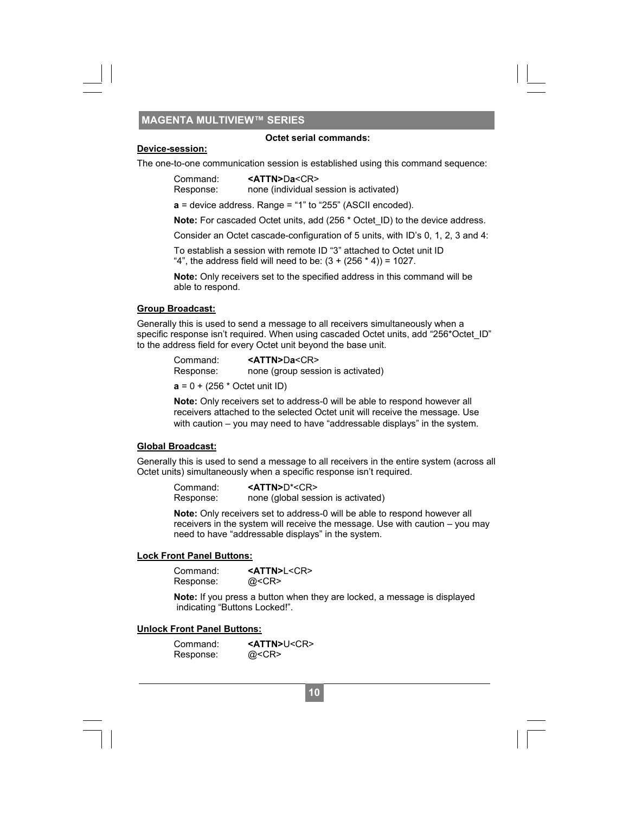#### **Octet serial commands:**

#### **Device-session:**

The one-to-one communication session is established using this command sequence:

| Command:  | < <b>ATTN&gt;Da</b> <cr></cr>          |
|-----------|----------------------------------------|
| Response: | none (individual session is activated) |

**a** = device address. Range = "1" to "255" (ASCII encoded).

**Note:** For cascaded Octet units, add (256 \* Octet\_ID) to the device address.

Consider an Octet cascade-configuration of 5 units, with ID's 0, 1, 2, 3 and 4:

To establish a session with remote ID "3" attached to Octet unit ID

"4", the address field will need to be:  $(3 + (256 * 4)) = 1027$ .

 **Note:** Only receivers set to the specified address in this command will be able to respond.

#### **Group Broadcast:**

Generally this is used to send a message to all receivers simultaneously when a specific response isn't required. When using cascaded Octet units, add "256\*Octet ID" to the address field for every Octet unit beyond the base unit.

| Command:  | < <b>ATTN&gt;Da</b> <cr></cr>     |
|-----------|-----------------------------------|
| Response: | none (group session is activated) |

 $a = 0 + (256 * \text{Octet unit ID})$ 

 **Note:** Only receivers set to address-0 will be able to respond however all receivers attached to the selected Octet unit will receive the message. Use with caution – you may need to have "addressable displays" in the system.

#### **Global Broadcast:**

Generally this is used to send a message to all receivers in the entire system (across all Octet units) simultaneously when a specific response isn't required.

 Command: **<ATTN>**D\*<CR> Response: none (global session is activated)

Octet serial commands:<br>
1 session is established us<br>
1 session is established us<br>  $\text{ITIN} > \text{Da} < \text{CR} \ge$ <br>  $\text{e}$  (individual session is act<br>
20 ange = "1" to "255" (ASCII<br>
20 acted units, add (256 \* Octes<br>
1 with remo **Note:** Only receivers set to address-0 will be able to respond however all receivers in the system will receive the message. Use with caution – you may need to have "addressable displays" in the system.

#### **Lock Front Panel Buttons:**

| Command:  | <attn>L<cr></cr></attn> |
|-----------|-------------------------|
| Response: | @ <cr></cr>             |

 **Note:** If you press a button when they are locked, a message is displayed indicating "Buttons Locked!".

#### **Unlock Front Panel Buttons:**

| Command:  | <attn>U<cr></cr></attn> |
|-----------|-------------------------|
| Response: | @ <cr></cr>             |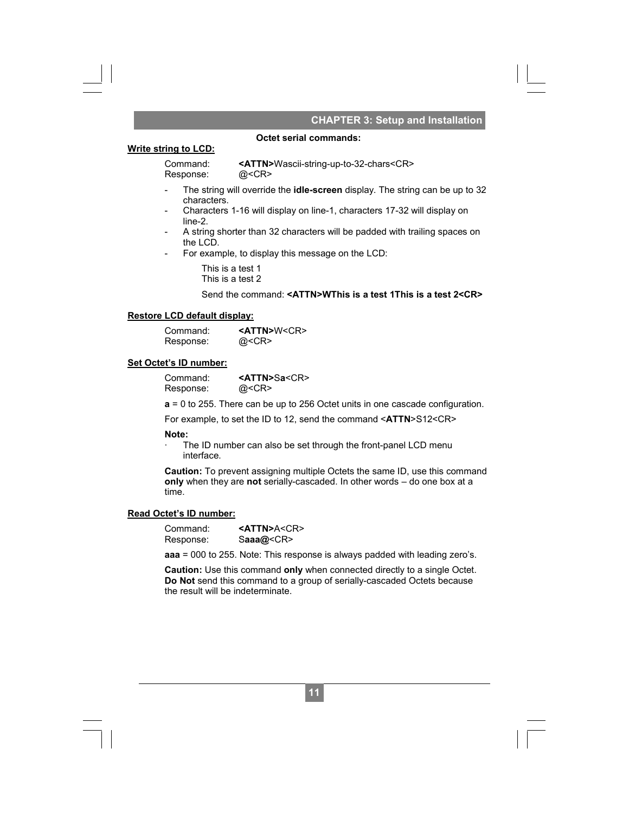#### **. CHAPTER 3: Setup and Installation**

#### **Write string to LCD:**

Response: @<CR>

Command: **<ATTN>**Wascii-string-up-to-32-chars<CR>

 **Octet serial commands:**

- The string will override the **idle-screen** display. The string can be up to 32 characters.
- Characters 1-16 will display on line-1, characters 17-32 will display on line-2.
- A string shorter than 32 characters will be padded with trailing spaces on the LCD.
- For example, to display this message on the LCD:

This is a test 1 This is a test 2

Send the command: **<ATTN>WThis is a test 1This is a test 2<CR>**

#### **Restore LCD default display:**

| Command:  | <attn>W<cr></cr></attn> |
|-----------|-------------------------|
| Response: | @ <cr></cr>             |

#### **Set Octet's ID number:**

| Command:  | <attn>Sa<cr></cr></attn> |
|-----------|--------------------------|
| Response: | @ <cr></cr>              |

**a** = 0 to 255. There can be up to 256 Octet units in one cascade configuration.

For example, to set the ID to 12, send the command <**ATTN**>S12<CR>

#### **Note:**

The ID number can also be set through the front-panel LCD menu interface.

**Caution:** To prevent assigning multiple Octets the same ID, use this command **only** when they are **not** serially-cascaded. In other words – do one box at a time.

#### **Read Octet's ID number:**

| Command:  | $<$ ATTN>A <cr></cr> |
|-----------|----------------------|
| Response: | Saaa@ <cr></cr>      |

**aaa** = 000 to 255. Note: This response is always padded with leading zero's.

**Caution:** Use this command **only** when connected directly to a single Octet. **Do Not** send this command to a group of serially-cascaded Octets because the result will be indeterminate.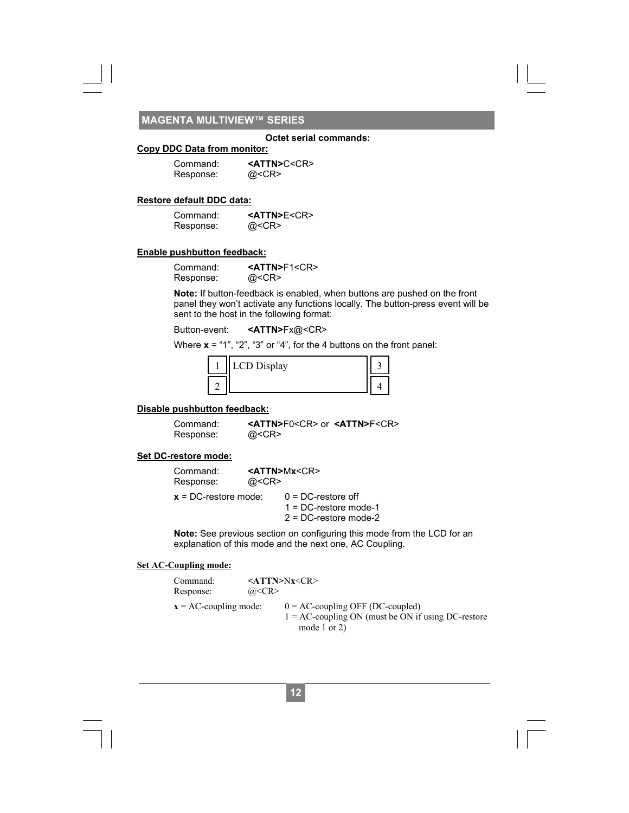#### **Octet serial commands:**

#### **Copy DDC Data from monitor:**

| Command:  | $<$ ATTN>C $<$ CR $>$ |
|-----------|-----------------------|
| Response: | @ <cr></cr>           |

#### **Restore default DDC data:**

| Command:  | $<$ ATTN>E $<$ CR> |
|-----------|--------------------|
| Response: | @ <cr></cr>        |

#### **Enable pushbutton feedback:**

Command: **<ATTN>F1<CR>**<br>Response: @<CR> Response:

**Note:** If button-feedback is enabled, when buttons are pushed on the front panel they won't activate any functions locally. The button-press event will be sent to the host in the following format:

Button-event: **<ATTN>**Fx@<CR>

Where **x** = "1", "2", "3" or "4", for the 4 buttons on the front panel:

|  | CD Display |  |
|--|------------|--|
|  |            |  |

#### **Disable pushbutton feedback:**

Response:

Command: **<ATTN>**F0<CR> or **<ATTN>**F<CR>

#### **Set DC-restore mode:**

| Command:<br>Response:   | @ <cr></cr> | $<$ ATTN>Mx $<$ CR>                                                           |
|-------------------------|-------------|-------------------------------------------------------------------------------|
| $x = DC$ -restore mode: |             | $0 = DC$ -restore off<br>$1 = DC$ -restore mode-1<br>$2 = DC$ -restore mode-2 |

**Note:** See previous section on configuring this mode from the LCD for an explanation of this mode and the next one, AC Coupling.

#### **Set AC-Coupling mode:**

| Command:                 | $\langle \text{ATTN>}\rangle$ Nx $\langle \text{CR}\rangle$                                                  |
|--------------------------|--------------------------------------------------------------------------------------------------------------|
| Response:                | @ <cr></cr>                                                                                                  |
| $x = AC$ -coupling mode: | $0 = AC$ -coupling OFF (DC-coupled)<br>$1 = AC$ -coupling ON (must be ON if using DC-restore<br>mode 1 or 2) |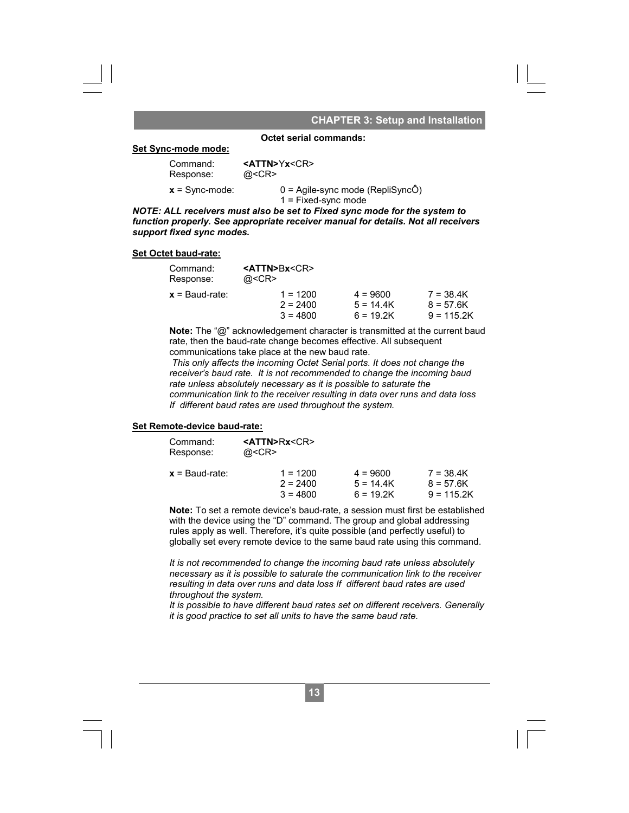#### **. CHAPTER 3: Setup and Installation**

#### **Set Sync-mode mode:**

 **Octet serial commands:**

 Command: **<ATTN>**Y**x**<CR> Response:

 **x** = Sync-mode: 0 = Agile-sync mode (RepliSyncÔ) 1 = Fixed-sync mode

*NOTE: ALL receivers must also be set to Fixed sync mode for the system to function properly. See appropriate receiver manual for details. Not all receivers support fixed sync modes.* 

#### **Set Octet baud-rate:**

| Command:<br>Response: | $<$ ATTN>Bx $<$ CR><br>$@<$ CR $>$ |             |              |
|-----------------------|------------------------------------|-------------|--------------|
| $x =$ Baud-rate:      | $1 = 1200$                         | $4 = 9600$  | $7 = 38.4K$  |
|                       | $2 = 2400$                         | $5 = 14.4K$ | $8 = 57.6K$  |
|                       | $3 = 4800$                         | $6 = 19.2K$ | $9 = 115.2K$ |

 **Note:** The "@" acknowledgement character is transmitted at the current baud rate, then the baud-rate change becomes effective. All subsequent communications take place at the new baud rate.

 *This only affects the incoming Octet Serial ports. It does not change the receiver's baud rate. It is not recommended to change the incoming baud rate unless absolutely necessary as it is possible to saturate the communication link to the receiver resulting in data over runs and data loss If different baud rates are used throughout the system.* 

#### **Set Remote-device baud-rate:**

| Command:<br>Response: | $<$ ATTN>Rx $<$ CR><br>$@<$ CR $>$ |             |              |
|-----------------------|------------------------------------|-------------|--------------|
| $x =$ Baud-rate:      | $1 = 1200$                         | $4 = 9600$  | $7 = 38.4K$  |
|                       | $2 = 2400$                         | $5 = 14.4K$ | $8 = 57.6K$  |
|                       | $3 = 4800$                         | $6 = 19.2K$ | $9 = 115.2K$ |

 **Note:** To set a remote device's baud-rate, a session must first be established with the device using the "D" command. The group and global addressing rules apply as well. Therefore, it's quite possible (and perfectly useful) to globally set every remote device to the same baud rate using this command.

 *It is not recommended to change the incoming baud rate unless absolutely necessary as it is possible to saturate the communication link to the receiver resulting in data over runs and data loss If different baud rates are used throughout the system.* 

 *It is possible to have different baud rates set on different receivers. Generally it is good practice to set all units to have the same baud rate.*

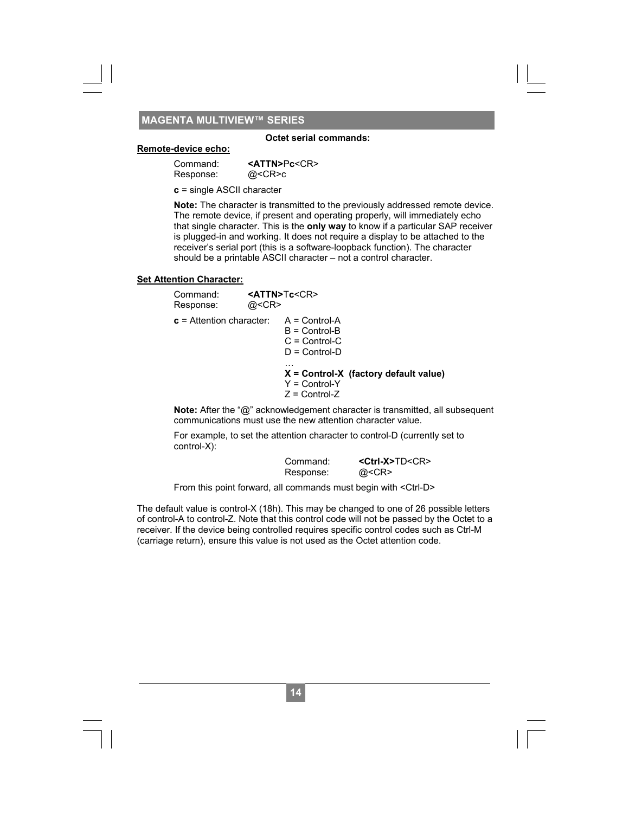#### **Octet serial commands:**

#### **Remote-device echo:**

| Command:  | $<$ ATTN>Pc $<$ CR> |
|-----------|---------------------|
| Response: | @ <cr>c</cr>        |

**c** = single ASCII character

 **Note:** The character is transmitted to the previously addressed remote device. The remote device, if present and operating properly, will immediately echo that single character. This is the **only way** to know if a particular SAP receiver is plugged-in and working. It does not require a display to be attached to the receiver's serial port (this is a software-loopback function). The character should be a printable ASCII character – not a control character.

#### **Set Attention Character:**

| Command:<br>Response:      | @ <cr></cr> | <attn>Tc<cr></cr></attn>                                                   |                                                                                                       |
|----------------------------|-------------|----------------------------------------------------------------------------|-------------------------------------------------------------------------------------------------------|
| $c =$ Attention character: |             | $A = Control-A$<br>$B =$ Control-B<br>$C =$ Control-C<br>$D = Control - D$ |                                                                                                       |
|                            |             | .<br>$Y =$ Control-Y<br>$Z =$ Control-Z                                    | $X =$ Control-X (factory default value)                                                               |
|                            |             |                                                                            | Note: $Affor$ the " $\mathcal{D}$ " coknowledgement eperator is transmitted all support $\mathcal{D}$ |

 **Note:** After the "@" acknowledgement character is transmitted, all subsequent communications must use the new attention character value.

 For example, to set the attention character to control-D (currently set to control-X):

| Command:  | $<$ Ctrl-X>TD $<$ CR> |
|-----------|-----------------------|
| Response: | @ <cr></cr>           |

From this point forward, all commands must begin with <Ctrl-D>

The default value is control-X (18h). This may be changed to one of 26 possible letters of control-A to control-Z. Note that this control code will not be passed by the Octet to a receiver. If the device being controlled requires specific control codes such as Ctrl-M (carriage return), ensure this value is not used as the Octet attention code.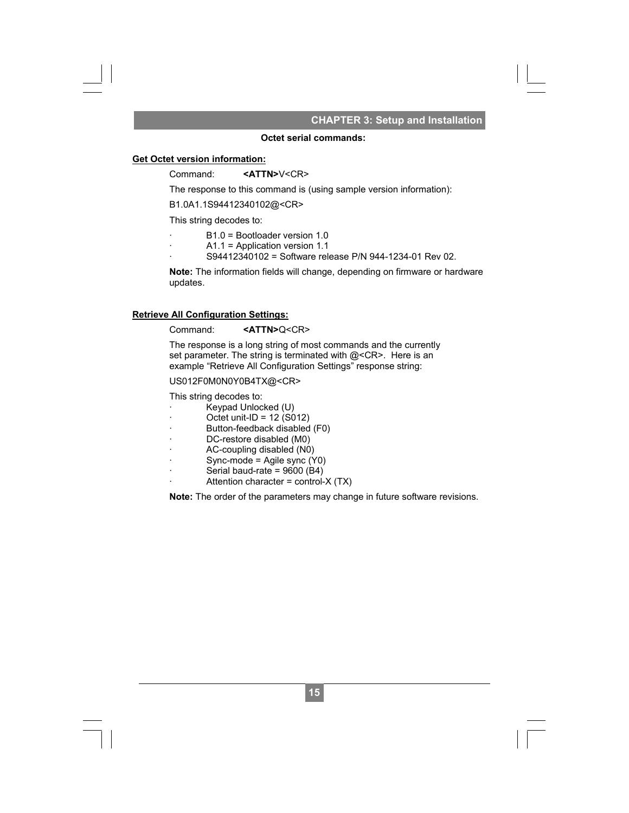#### **CHAPTER 3: Setup and Installation**

#### **Octet serial commands:**

#### **Get Octet version information:**

#### Command: **<ATTN>**V<CR>

The response to this command is (using sample version information):

B1.0A1.1S94412340102@<CR>

This string decodes to:

- B1.0 = Bootloader version 1.0
- · A1.1 = Application version 1.1
- · S94412340102 = Software release P/N 944-1234-01 Rev 02.

 **Note:** The information fields will change, depending on firmware or hardware updates.

#### **Retrieve All Configuration Settings:**

#### Command: **<ATTN>**Q<CR>

 The response is a long string of most commands and the currently set parameter. The string is terminated with @<CR>. Here is an example "Retrieve All Configuration Settings" response string: CHAPTER 3: Setup and Installation<br> **1 commands:**<br>
(using sample version information):<br>
n 1.0<br>
n 1.1<br>
re release P/N 944-1234-01 Rev 02.<br>
.<br>
.<br>
.<br>
.<br>
.<br>
.<br>
.<br>
d (for paramarity manage, depending on firmware or hardware<br>
and

#### US012F0M0N0Y0B4TX@<CR>

This string decodes to:

- · Keypad Unlocked (U)
- · Octet unit-ID = 12 (S012)
- Button-feedback disabled (F0)
- DC-restore disabled (M0)
- · AC-coupling disabled (N0)
- · Sync-mode = Agile sync (Y0)
- Serial baud-rate =  $9600$  (B4)
- Attention character = control- $X(TX)$

 **Note:** The order of the parameters may change in future software revisions.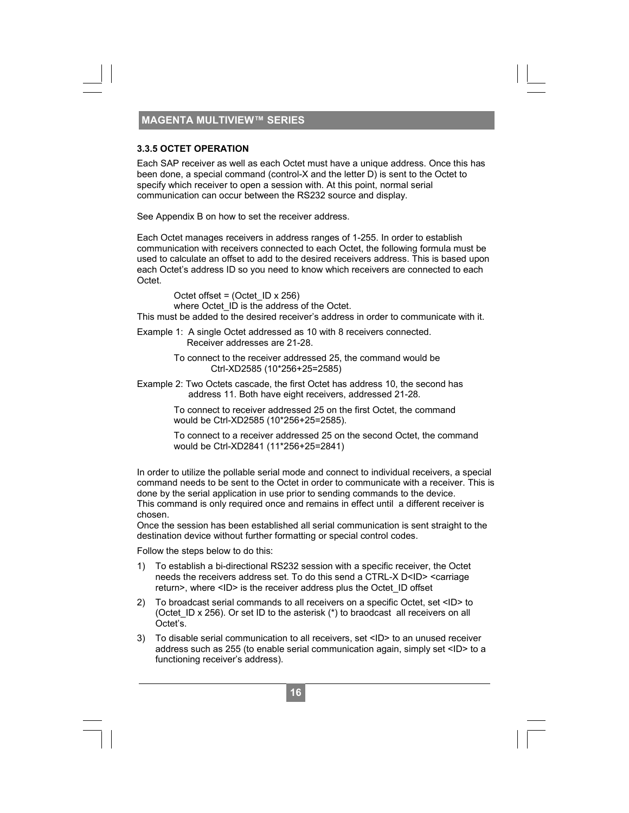#### **3.3.5 OCTET OPERATION**

Each SAP receiver as well as each Octet must have a unique address. Once this has been done, a special command (control-X and the letter D) is sent to the Octet to specify which receiver to open a session with. At this point, normal serial communication can occur between the RS232 source and display.

See Appendix B on how to set the receiver address.

Each Octet manages receivers in address ranges of 1-255. In order to establish communication with receivers connected to each Octet, the following formula must be used to calculate an offset to add to the desired receivers address. This is based upon each Octet's address ID so you need to know which receivers are connected to each Octet.

 Octet offset = (Octet\_ID x 256) where Octet ID is the address of the Octet.

This must be added to the desired receiver's address in order to communicate with it.

Example 1: A single Octet addressed as 10 with 8 receivers connected. Receiver addresses are 21-28.

> To connect to the receiver addressed 25, the command would be Ctrl-XD2585 (10\*256+25=2585)

Example 2: Two Octets cascade, the first Octet has address 10, the second has address 11. Both have eight receivers, addressed 21-28.

> To connect to receiver addressed 25 on the first Octet, the command would be Ctrl-XD2585 (10\*256+25=2585).

 To connect to a receiver addressed 25 on the second Octet, the command would be Ctrl-XD2841 (11\*256+25=2841)

In order to utilize the pollable serial mode and connect to individual receivers, a special command needs to be sent to the Octet in order to communicate with a receiver. This is done by the serial application in use prior to sending commands to the device. This command is only required once and remains in effect until a different receiver is chosen.

Once the session has been established all serial communication is sent straight to the destination device without further formatting or special control codes.

Follow the steps below to do this:

- 1) To establish a bi-directional RS232 session with a specific receiver, the Octet needs the receivers address set. To do this send a CTRL-X D<ID> <carriage return>, where <ID> is the receiver address plus the Octet\_ID offset
- 2) To broadcast serial commands to all receivers on a specific Octet, set <ID> to (Octet ID x 256). Or set ID to the asterisk (\*) to braodcast all receivers on all Octet's.
- 3) To disable serial communication to all receivers, set <ID> to an unused receiver address such as 255 (to enable serial communication again, simply set <ID> to a functioning receiver's address).

**16**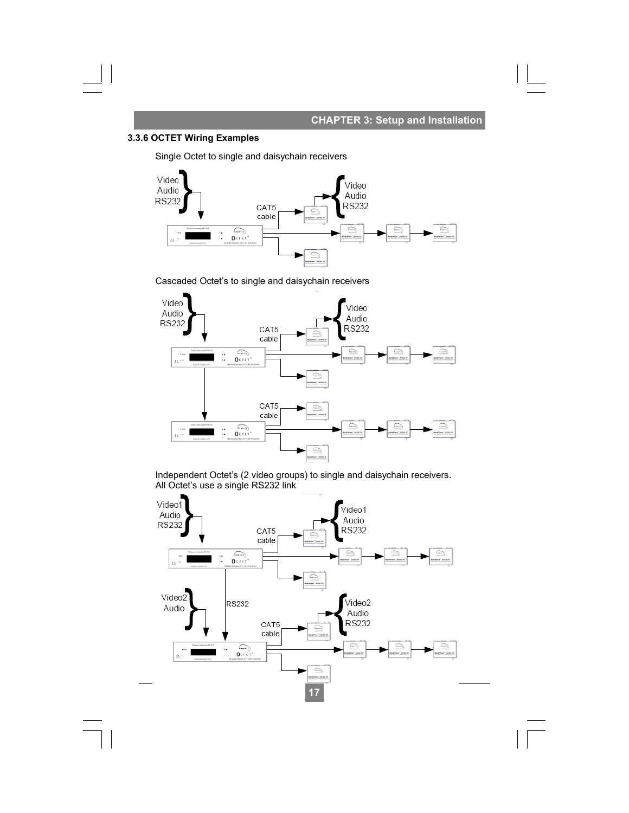### **CHAPTER 3: Setup and Installation**

#### **3.3.6 OCTET Wiring Examples**

Single Octet to single and daisychain receivers



Cascaded Octet's to single and daisychain receivers



Independent Octet's (2 video groups) to single and daisychain receivers. All Octet's use a single RS232 link

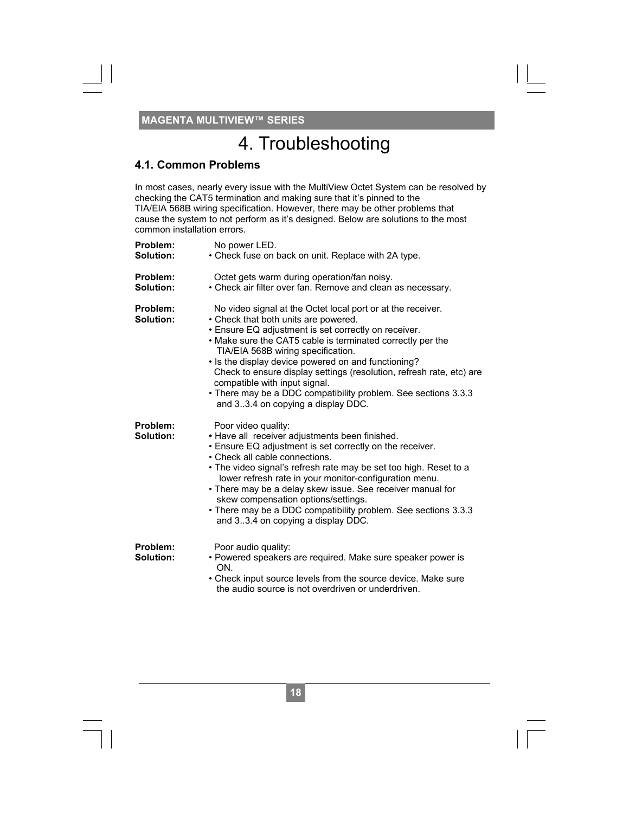## 4. Troubleshooting

#### **4.1. Common Problems**

In most cases, nearly every issue with the MultiView Octet System can be resolved by checking the CAT5 termination and making sure that it's pinned to the TIA/EIA 568B wiring specification. However, there may be other problems that cause the system to not perform as it's designed. Below are solutions to the most common installation errors.

| Problem:<br>Solution: | No power LED.<br>• Check fuse on back on unit. Replace with 2A type.                                                                                                                                                                                                                                                                                                                                                                                                                                                                    |
|-----------------------|-----------------------------------------------------------------------------------------------------------------------------------------------------------------------------------------------------------------------------------------------------------------------------------------------------------------------------------------------------------------------------------------------------------------------------------------------------------------------------------------------------------------------------------------|
| Problem:<br>Solution: | Octet gets warm during operation/fan noisy.<br>• Check air filter over fan. Remove and clean as necessary.                                                                                                                                                                                                                                                                                                                                                                                                                              |
| Problem:<br>Solution: | No video signal at the Octet local port or at the receiver.<br>• Check that both units are powered.<br>• Ensure EQ adjustment is set correctly on receiver.<br>. Make sure the CAT5 cable is terminated correctly per the<br>TIA/EIA 568B wiring specification.<br>• Is the display device powered on and functioning?<br>Check to ensure display settings (resolution, refresh rate, etc) are<br>compatible with input signal.<br>• There may be a DDC compatibility problem. See sections 3.3.3<br>and 33.4 on copying a display DDC. |
| Problem:<br>Solution: | Poor video quality:<br>· Have all receiver adjustments been finished.<br>• Ensure EQ adjustment is set correctly on the receiver.<br>• Check all cable connections.<br>• The video signal's refresh rate may be set too high. Reset to a<br>lower refresh rate in your monitor-configuration menu.<br>• There may be a delay skew issue. See receiver manual for<br>skew compensation options/settings.<br>• There may be a DDC compatibility problem. See sections 3.3.3<br>and 33.4 on copying a display DDC.                         |
| Problem:<br>Solution: | Poor audio quality:<br>• Powered speakers are required. Make sure speaker power is<br>ON<br>• Check input source levels from the source device. Make sure<br>the audio source is not overdriven or underdriven.                                                                                                                                                                                                                                                                                                                         |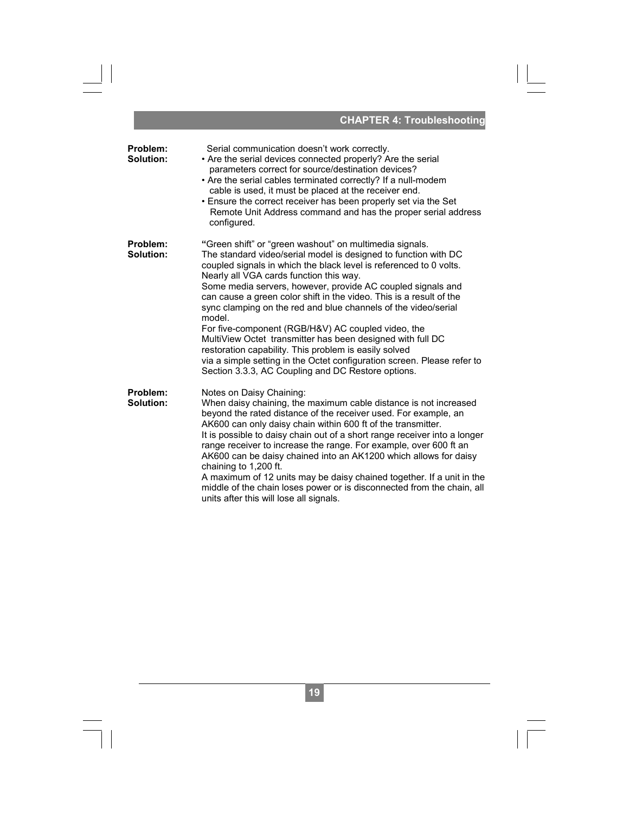|                       | <b>CHAPTER 4: Troubleshooting</b>                                                                                                                                                                                                                                                                                                                                                                                                                                                                                                                                                                                                                                                                                                                                           |
|-----------------------|-----------------------------------------------------------------------------------------------------------------------------------------------------------------------------------------------------------------------------------------------------------------------------------------------------------------------------------------------------------------------------------------------------------------------------------------------------------------------------------------------------------------------------------------------------------------------------------------------------------------------------------------------------------------------------------------------------------------------------------------------------------------------------|
| Problem:<br>Solution: | Serial communication doesn't work correctly.<br>• Are the serial devices connected properly? Are the serial<br>parameters correct for source/destination devices?<br>• Are the serial cables terminated correctly? If a null-modem<br>cable is used, it must be placed at the receiver end.<br>• Ensure the correct receiver has been properly set via the Set<br>Remote Unit Address command and has the proper serial address<br>configured.                                                                                                                                                                                                                                                                                                                              |
| Problem:<br>Solution: | "Green shift" or "green washout" on multimedia signals.<br>The standard video/serial model is designed to function with DC<br>coupled signals in which the black level is referenced to 0 volts.<br>Nearly all VGA cards function this way.<br>Some media servers, however, provide AC coupled signals and<br>can cause a green color shift in the video. This is a result of the<br>sync clamping on the red and blue channels of the video/serial<br>model.<br>For five-component (RGB/H&V) AC coupled video, the<br>MultiView Octet transmitter has been designed with full DC<br>restoration capability. This problem is easily solved<br>via a simple setting in the Octet configuration screen. Please refer to<br>Section 3.3.3, AC Coupling and DC Restore options. |
| Problem:<br>Solution: | Notes on Daisy Chaining:<br>When daisy chaining, the maximum cable distance is not increased<br>beyond the rated distance of the receiver used. For example, an<br>AK600 can only daisy chain within 600 ft of the transmitter.<br>It is possible to daisy chain out of a short range receiver into a longer<br>range receiver to increase the range. For example, over 600 ft an<br>AK600 can be daisy chained into an AK1200 which allows for daisy<br>chaining to 1,200 ft.<br>A maximum of 12 units may be daisy chained together. If a unit in the<br>middle of the chain loses power or is disconnected from the chain, all<br>units after this will lose all signals.                                                                                                |

 $\begin{array}{c|c} \hline \hline \end{array}$ 

#### **CHAPTER 4: Troubleshooting**

 $\sqrt{1-\frac{1}{2}}$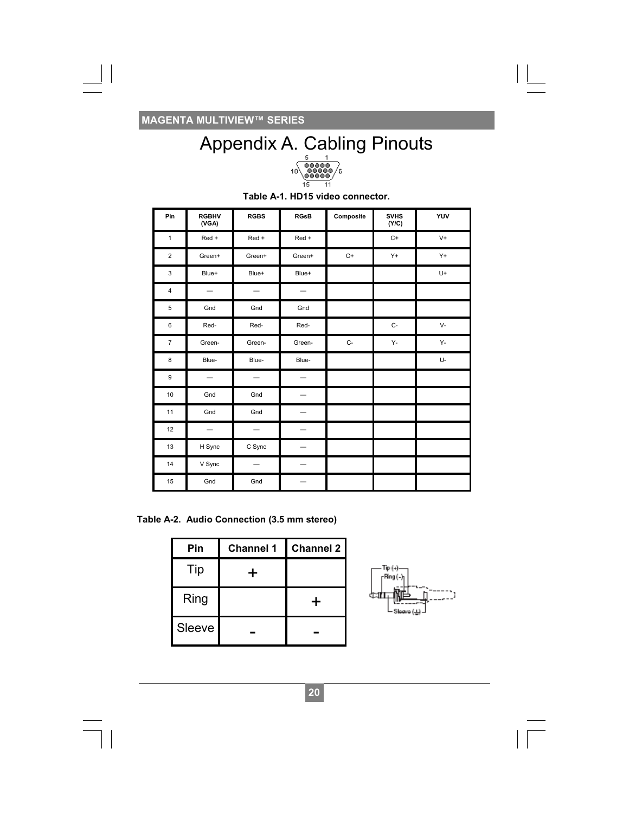

|     | Appendix A. Cabling Pinouts |                          |                                                             |                                                                                                                                            |           |                                                    |                            |
|-----|-----------------------------|--------------------------|-------------------------------------------------------------|--------------------------------------------------------------------------------------------------------------------------------------------|-----------|----------------------------------------------------|----------------------------|
|     |                             |                          |                                                             | $\begin{array}{c} \textcolor{red}{\textbf{00000}} \\ \textcolor{red}{\textbf{00000}} \\ \textcolor{red}{\textbf{00000}} \end{array}$<br>10 | ΄6<br>11  |                                                    |                            |
|     |                             |                          |                                                             | Table A-1. HD15 video connector.                                                                                                           |           |                                                    |                            |
| Pin |                             | <b>RGBHV</b><br>(VGA)    | <b>RGBS</b>                                                 | <b>RGsB</b>                                                                                                                                | Composite | <b>SVHS</b><br>(Y/C)                               | YUV                        |
| 1   |                             | Red +                    | Red +                                                       | Red +                                                                                                                                      |           | C+                                                 | V+                         |
| 2   |                             | Green+                   | Green+                                                      | Green+                                                                                                                                     | C+        | Y+                                                 | Y+                         |
| 3   |                             | Blue+                    | Blue+                                                       | Blue+                                                                                                                                      |           |                                                    | U+                         |
| 4   |                             | $\overline{\phantom{0}}$ |                                                             |                                                                                                                                            |           |                                                    |                            |
| 5   |                             | Gnd                      | Gnd                                                         | Gnd                                                                                                                                        |           |                                                    |                            |
| 6   |                             | Red-                     | Red-                                                        | Red-                                                                                                                                       |           | C-                                                 | V-                         |
| 7   |                             | Green-                   | Green-                                                      | Green-                                                                                                                                     | $C-$      | Υ-                                                 | Υ-                         |
| 8   |                             | Blue-                    | Blue-                                                       | Blue-                                                                                                                                      |           |                                                    | U-                         |
| 9   |                             | $\overline{\phantom{0}}$ | $\qquad \qquad -$                                           | $\overline{\phantom{0}}$                                                                                                                   |           |                                                    |                            |
| 10  |                             | Gnd                      | Gnd                                                         | $\overline{\phantom{0}}$                                                                                                                   |           |                                                    |                            |
| 11  |                             | Gnd                      | Gnd                                                         | $\overline{\phantom{0}}$                                                                                                                   |           |                                                    |                            |
| 12  |                             |                          |                                                             | $\overline{\phantom{0}}$                                                                                                                   |           |                                                    |                            |
| 13  |                             | H Sync                   | C Sync                                                      |                                                                                                                                            |           |                                                    |                            |
| 14  |                             | V Sync                   |                                                             | $\overline{\phantom{0}}$                                                                                                                   |           |                                                    |                            |
| 15  |                             | Gnd                      | Gnd                                                         | $\equiv$                                                                                                                                   |           |                                                    |                            |
|     | Pin                         |                          | e A-2. Audio Connection (3.5 mm stereo)<br><b>Channel 1</b> | <b>Channel 2</b>                                                                                                                           |           |                                                    |                            |
|     | Tip                         |                          |                                                             |                                                                                                                                            |           | Тір (+).                                           |                            |
|     |                             |                          | ┿                                                           |                                                                                                                                            |           | -Ping (-)                                          |                            |
|     | Ring                        |                          |                                                             |                                                                                                                                            |           | 郦<br>deantπ.<br>Sloove $(\underline{\rightarrow})$ | $\ddot{\phantom{1}}$<br>h. |
|     | Sleeve                      |                          |                                                             |                                                                                                                                            |           |                                                    |                            |
|     |                             |                          |                                                             |                                                                                                                                            |           |                                                    |                            |
|     |                             |                          |                                                             | 20                                                                                                                                         |           |                                                    |                            |

**Table A-2. Audio Connection (3.5 mm stereo)** 

| Pin    | <b>Channel 1</b> | <b>Channel 2</b> |
|--------|------------------|------------------|
| Tip    |                  |                  |
| Ring   |                  |                  |
| Sleeve |                  |                  |

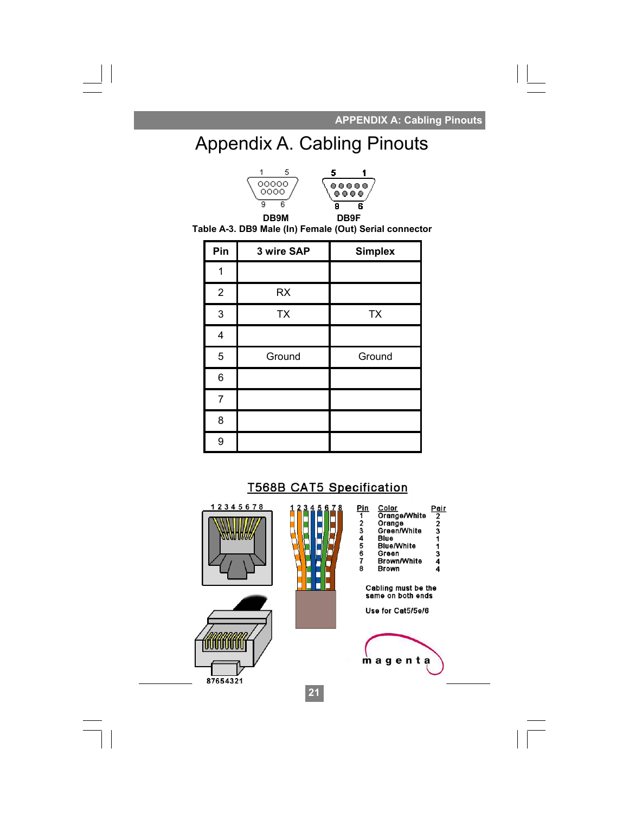**. APPENDIX A: Cabling Pinouts** 

## Appendix A. Cabling Pinouts



**Table A-3. DB9 Male (In) Female (Out) Serial connector** 

| Pin                     | 3 wire SAP | <b>Simplex</b> |
|-------------------------|------------|----------------|
|                         |            |                |
| $\overline{2}$          | <b>RX</b>  |                |
| $\mathsf 3$             | <b>TX</b>  | <b>TX</b>      |
| $\overline{\mathbf{4}}$ |            |                |
| 5                       | Ground     | Ground         |
| 6                       |            |                |
| 7                       |            |                |
| 8                       |            |                |
| 9                       |            |                |

### **T568B CAT5 Specification**

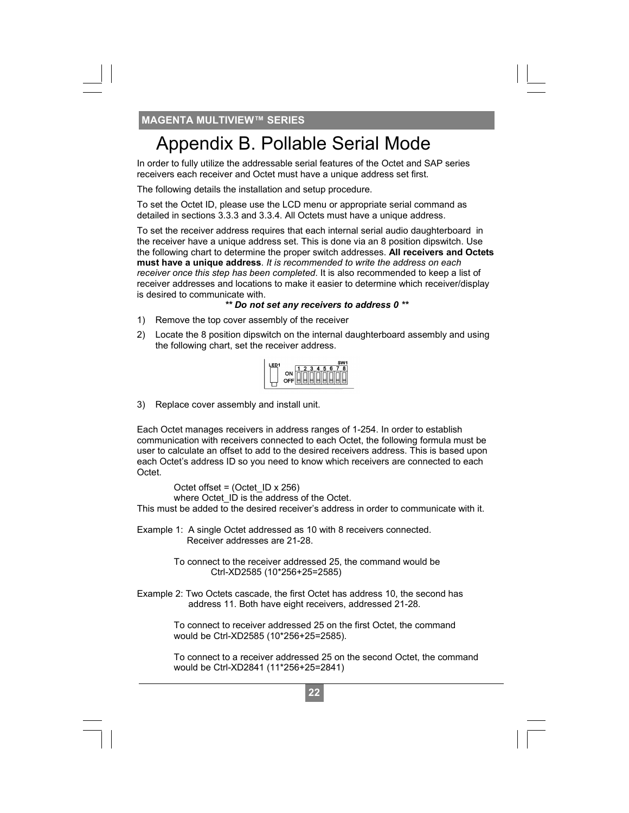In order to fully utilize the addressable serial features of the Octet and SAP series receivers each receiver and Octet must have a unique address set first.

The following details the installation and setup procedure.

To set the Octet ID, please use the LCD menu or appropriate serial command as detailed in sections 3.3.3 and 3.3.4. All Octets must have a unique address.

**22 Properation** B. Pollable Serial Mode<br>there to fully utilize the addressable serial features of the Octet and SA<br>close the research to the colocat and SA close the colocation of the colocation<br>following details the inst To set the receiver address requires that each internal serial audio daughterboard in the receiver have a unique address set. This is done via an 8 position dipswitch. Use the following chart to determine the proper switch addresses. **All receivers and Octets must have a unique address**. *It is recommended to write the address on each receiver once this step has been completed*. It is also recommended to keep a list of receiver addresses and locations to make it easier to determine which receiver/display is desired to communicate with.

#### *\*\* Do not set any receivers to address 0 \*\**

- 1) Remove the top cover assembly of the receiver
- 2) Locate the 8 position dipswitch on the internal daughterboard assembly and using the following chart, set the receiver address.

| JIL<br>Ⅲ.<br>ı<br>Ш<br>l<br>I<br>Ш |  |  |  |  |  |
|------------------------------------|--|--|--|--|--|
|                                    |  |  |  |  |  |
|                                    |  |  |  |  |  |
|                                    |  |  |  |  |  |

3) Replace cover assembly and install unit.

Each Octet manages receivers in address ranges of 1-254. In order to establish communication with receivers connected to each Octet, the following formula must be user to calculate an offset to add to the desired receivers address. This is based upon each Octet's address ID so you need to know which receivers are connected to each Octet.

 Octet offset = (Octet\_ID x 256) where Octet\_ID is the address of the Octet.

This must be added to the desired receiver's address in order to communicate with it.

Example 1: A single Octet addressed as 10 with 8 receivers connected. Receiver addresses are 21-28.

> To connect to the receiver addressed 25, the command would be Ctrl-XD2585 (10\*256+25=2585)

Example 2: Two Octets cascade, the first Octet has address 10, the second has address 11. Both have eight receivers, addressed 21-28.

> To connect to receiver addressed 25 on the first Octet, the command would be Ctrl-XD2585 (10\*256+25=2585).

 To connect to a receiver addressed 25 on the second Octet, the command would be Ctrl-XD2841 (11\*256+25=2841)

**24**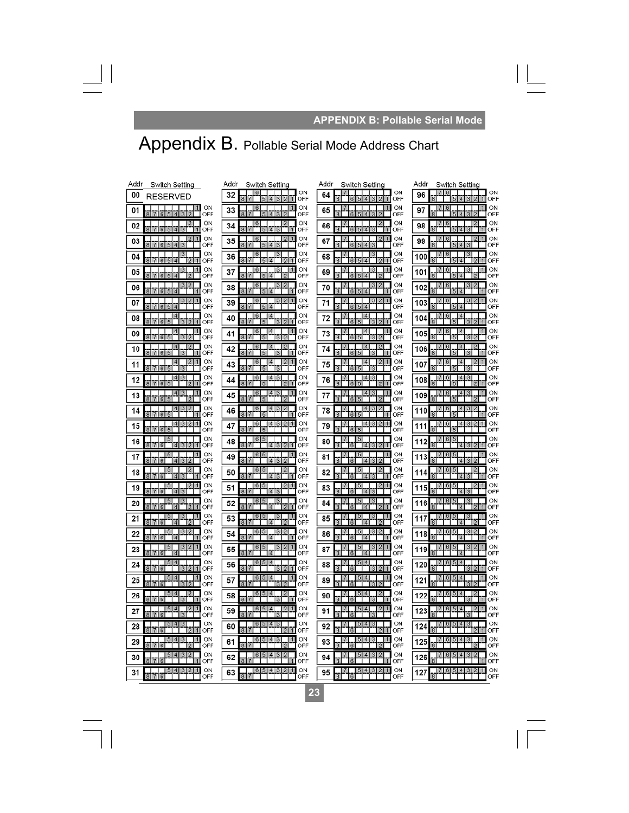#### **. APPENDIX B: Pollable Serial Mode**

 $\sqrt{1-\frac{1}{2}}$ 

## Appendix B. Pollable Serial Mode Address Chart

| Addr<br>Switch Setting                                                                | Addr<br>Switch Setting                                                                                | Addr<br>Switch Setting                                                             | Addr<br>Switch Setting                                                                        |
|---------------------------------------------------------------------------------------|-------------------------------------------------------------------------------------------------------|------------------------------------------------------------------------------------|-----------------------------------------------------------------------------------------------|
| 00<br><b>RESERVED</b>                                                                 | 6<br>ON<br>32<br>OFF<br>$\boldsymbol{A}$                                                              | ON<br>7<br>64<br>OFF                                                               | ON<br>7<br>16<br>96<br>OFF                                                                    |
| ON<br>11<br>01<br>OFF                                                                 | ON<br>33<br>m<br>1<br>OFF<br>$\boldsymbol{\Lambda}$<br>3                                              | ON<br>11<br>65<br>OFF                                                              | ON<br>п.<br>97<br>OFF<br> 3 <br>$\overline{4}$                                                |
| ON<br>2<br>02<br>OFF<br>R<br>514<br>ষ                                                 | ON<br>6<br>ıэ<br>34<br>OFF<br>$\overline{A}$<br>ā<br>1                                                | ON<br>2<br>66<br>OFF<br>$A$ <sup>3</sup>                                           | ON<br>2<br>98<br>OFF<br>R<br>$\boldsymbol{\Lambda}$                                           |
| ON<br>$\mathsf{I}2$<br>03<br>OFF<br>6154<br> 3                                        | ON<br>6<br>35<br>OFF<br>4 3<br>я<br>15                                                                | ON<br>2<br>67<br>5<br>OFF<br>$ A $ 3<br>я<br>ß.                                    | ON<br>6<br>$\mathbf{2}$<br>99<br>OFF<br>5 4 3                                                 |
| ON<br>04<br>6 5 <br>$\overline{4}$<br>OFF<br> 2 <br>$\vert$ 1                         | ON<br>36<br>OFF<br>$\mathbf{R}$<br>$\sqrt{2}$<br>$\overline{\bf{4}}$<br>12                            | ON<br>68<br>5<br> 4 <br>12<br>OFF<br>$\vert$ 1<br>l 6                              | ON<br>6<br>100<br>OFF<br>514<br> 2                                                            |
| ON<br>з<br>05<br>OFF<br>A                                                             | ON<br>6<br>з<br>37<br>OFF<br>8<br>4                                                                   | ON<br>-3<br>69<br>OFF<br>$\boldsymbol{A}$                                          | ON<br>101<br>OFF<br>5<br>$\boldsymbol{\Lambda}$                                               |
| ON<br>3 2<br>06<br>7654<br>OFF<br>R<br>$\blacksquare$                                 | ON<br>3 2<br>16.<br>38<br>OFF<br>817<br>7<br>514                                                      | ON<br>$\overline{2}$<br>$\mathbf{3}$<br>70<br>OFF<br>$6 \ 5 \ 4$<br>$\blacksquare$ | ON<br>16<br>$\mathbf{3}$<br>102<br>हो<br>OFF<br>574                                           |
| ON<br>312<br>07<br>$\mathbb{R}$<br>丐<br>$\overline{A}$<br>OFF                         | 3 2<br>ON<br>6<br>39<br>OFF<br>$\boldsymbol{\Lambda}$                                                 | ON<br>$\overline{2}$<br>$\vert$ 1<br>71<br>OFF<br>$\overline{A}$                   | ON<br>3<br>$\overline{2}$<br>6<br>103<br>5<br>OFF<br>$\boldsymbol{\Lambda}$                   |
| ON<br>08<br>OFF<br>$\mathbf{R}$<br>ĥ<br>5<br>з<br>$\Box$<br>1                         | ON<br>40<br>OFF<br>$\Box$<br>R<br>з<br>1                                                              | ON<br>$\overline{4}$<br>72<br>OFF<br>$\overline{2}$<br>5<br>13.<br>11<br>в         | ON<br>$\overline{4}$<br>104<br>OFF<br>5<br>з<br>$\overline{2}$                                |
| ON<br>4<br>09<br>$\overline{\mathbf{R}}$<br>3 2<br>OFF<br>65                          | ON<br>41<br>OFF<br>$\mathbf{B}$<br>32<br>15                                                           | ON<br>4<br>73<br>15<br>5<br>OFF<br>$\mathbf{R}$<br>-131<br>I۶                      | ON<br>$\frac{4}{1}$<br>105<br>$\overline{8}$<br>$\overline{5}$<br>OFF<br>31<br>$\overline{2}$ |
| ON<br>4<br>$\overline{2}$<br>10<br>OFF<br>615                                         | ON<br>$\overline{4}$<br>6<br>12<br>42<br>OFF<br>$\mathbf{R}$                                          | ON<br>$\overline{4}$<br>2<br>74<br>OFF<br>马                                        | ON<br>$\overline{4}$<br>$\overline{2}$<br>6<br>106<br>5<br>OFF<br>3                           |
| ON<br>4<br>$\mathcal{D}$<br>11<br>OFF<br>161 5                                        | ON<br>4<br>12<br>16<br>43<br>OFF<br>$\mathcal{R}$<br>B.                                               | ON<br>$\overline{4}$<br>2<br>$\blacksquare$<br>75<br>OFF                           | ON<br>$\overline{4}$<br>2<br>16<br>107<br>OFF<br>$\mathcal{R}$<br>5                           |
| ON<br>ß<br>12<br>$\overline{8}$<br>OFF<br>6<br>5<br>$\mathcal{D}$<br>$\vert$ 1        | ON<br>$\boldsymbol{4}$<br>з<br>44<br>$\overline{\mathbf{8}}$<br>OFF<br>$\overline{2}$<br>$\mathbf{1}$ | ON<br>$\vert$ 4<br>76<br>2<br>5<br>OFF<br>$\mathbf{R}$<br>6<br>$\blacksquare$      | ON<br>$\boldsymbol{\Lambda}$<br>в<br>108<br>5<br>OFF                                          |
| ON<br>$\overline{4}$<br>3<br>13<br>OFF<br>$\mathbf{R}$<br>65<br>$\mathbf{E}$          | ON<br>4 3 <br>16<br>45<br>OFF<br>$\mathbf{R}$<br>12                                                   | ON<br>$4 \mid 3$<br>1<br>77<br>ヮ<br>OFF<br>15<br>l Ri                              | ON<br> 4 3<br>$\vert 6 \vert$<br>109<br>OFF<br>$\vert$ 5<br>$\mathcal{D}$                     |
| ON<br>2<br>з<br>14<br>615<br>OFF                                                      | ON<br>$\overline{4}$<br>12<br>з<br>16<br>46<br>$\overline{R}$<br>OFF                                  | ON<br>$\vert$<br>$\overline{2}$<br>з<br>78<br>5<br>OFF<br>11                       | ON<br>4<br>13.<br>2<br>$\mathfrak{G}$<br>110<br>OFF<br>5                                      |
| ON<br>3 2<br>4<br>15<br>OFF                                                           | ON<br>4 3 2<br>ß<br>47<br>OFF                                                                         | ON<br>4 3<br>2<br>1<br>79<br>OFF                                                   | ON<br>2<br>4<br>131<br>16<br>111<br>OFF                                                       |
| ON<br>ь<br>16<br>OFF<br>$\overline{4}$<br> 6 <br>3 2 1                                | ON<br>-6<br>48<br>OFF<br>817<br>4 3 2<br>1                                                            | ON<br>80<br>OFF<br>4321<br>16                                                      | ON<br>5<br>16<br>112<br>OFF<br>14 3 2                                                         |
| ON<br>-5<br>17<br>OFF<br>6<br>$\overline{4}$<br>31                                    | ON<br>49<br>OFF<br>R<br>$\overline{4}$<br>$\overline{3}$                                              | ON<br>81<br>2<br>OFF<br>$\overline{4}$                                             | ON<br>6<br>$\overline{5}$<br>113<br>OFF<br>$\overline{4}$<br>3                                |
| ON<br>5<br>18<br>OFF<br>$\mathbf{R}$<br> 6 <br>$\boldsymbol{A}$<br>31<br>$\mathbf{r}$ | ON<br>50<br>OFF<br>817<br>4 3<br>1                                                                    | ON<br>82<br>OFF<br>$\mathbb{R}$<br>413<br>$\vert$ 1<br>lß                          | ON<br>114<br>OFF<br>R<br> 4 3                                                                 |
| ON<br>19<br>OFF<br>8<br>$6\phantom{1}$<br>$\boldsymbol{\Lambda}$<br>3                 | ON<br>51<br>$\overline{8}$<br>43<br>OFF                                                               | ON<br>2<br>1<br>83<br>OFF<br>$\mathbf{R}$<br>$4 \mid 3$                            | ON<br>115<br>OFF<br>$\overline{4}$<br>$\overline{3}$                                          |
| ON<br>31<br>15<br>20<br>OFF                                                           | ON<br>31<br>16<br>÷.<br>52<br>OFF                                                                     | ON<br>3<br>84<br>OFF                                                               | ON<br>5<br>13<br>16<br>116<br>OFF                                                             |
| ON<br>з<br>21<br>OFF<br>$\boldsymbol{\Lambda}$                                        | ON<br>6<br>з<br>53<br>OFF<br>$\boldsymbol{A}$                                                         | ON<br>11<br>13<br>85<br>OFF<br>$\vert$ 4                                           | ON<br>ь<br>13<br>117<br>OFF<br>$\sqrt{2}$<br> 4                                               |
| ON<br>2<br>22<br>OFF<br>$\overline{6}$<br>$\overline{A}$                              | ON<br>a.<br>54<br>OFF<br>Ä<br>$\overline{4}$<br>1                                                     | ON<br>86<br>OFF<br>$\overline{A}$                                                  | ON<br>118<br>OFF<br>$\boldsymbol{\Lambda}$                                                    |
| ON<br>$\sqrt{5}$<br>3 2 <br>23<br>OFF<br>$\kappa$<br>$\Lambda$                        | ON<br>6<br>3 2<br>ь<br>55<br>OFF<br>я<br>$\Lambda$                                                    | ON<br>$\vert 3 \vert$<br>$\overline{2}$<br>ь<br>87<br>OFF<br>$\Lambda$             | ON<br>6<br>$\vert 5 \vert$<br> 3 <br>$\overline{2}$<br>119<br>OFF<br>$\Lambda$                |
| ON<br>m<br>24<br>OFF<br>6                                                             | ON<br>4<br>56<br>OFF<br>8<br>2                                                                        | ON<br>4<br>88<br>$\mathfrak{D}$<br>OFF                                             | ON<br>5<br>4<br>120<br>OFF                                                                    |
| ON<br>151<br>4<br>25<br>OFF                                                           | ON<br>6<br>4<br>5<br>1<br>57<br>OFF                                                                   | ON<br> 4 <br>5<br>89<br>OFF                                                        | ON<br>I5 I<br>$\overline{4}$<br>6<br>121<br>OFF                                               |
| ON<br>4<br>26<br>$\overline{\mathbf{R}}$<br>OFF<br>6<br>3<br>-1                       | ON<br>4<br>58<br>$\overline{8}$<br>OFF<br> 3 <br>$\mathbf{1}$<br>$\mathcal{I}$                        | ON<br>$\overline{4}$<br>2<br>90<br>OFF<br>$\overline{R}$<br>l 3<br>11.<br>16       | ON<br>$\overline{A}$<br>$\overline{5}$<br>122<br>g<br>OFF<br>$\overline{3}$                   |
| ON<br>$\mathbf{E}$<br>-5<br>⊿<br>11<br>27<br>OFF                                      | ON<br>$\overline{4}$<br>12<br>59<br>OFF<br>$\mathbf{R}$                                               | ON<br> 4 <br>$\overline{2}$<br>$\blacksquare$<br>91<br>OFF<br>я                    | ON<br>$\mathcal{D}$<br>$\overline{A}$<br>123<br>OFF                                           |
| ON<br>28<br>OFF<br>$\mathbf{a}$<br>$\vert$ 2<br>ß<br>$\blacksquare$                   | ON<br>3<br>60<br>OFF<br>$\mathbf{R}$<br>$\mathbf{E}$<br>$\mathbf{1}$                                  | ON<br>$\boldsymbol{A}$<br>92<br>OFF<br>$\mathcal{D}$<br>$\blacksquare$<br>8        | ON<br>$\boldsymbol{\Lambda}$<br>з<br>124<br>OFF<br>211                                        |
| ON<br>29<br>Ä<br>OFF<br>6                                                             | ON<br>з<br>61<br>$\overline{8}$<br>OFF                                                                | ON<br>41<br>1<br>93<br>5<br>OFF<br>$\mathcal{R}$                                   | ON<br>з<br>125<br>OFF                                                                         |
| ON<br>4<br>31<br>$\overline{2}$<br>5<br>30<br>OFF                                     | ON<br>4<br>3 2<br>6<br>5<br>62<br>OFF                                                                 | ON<br> 4 <br>3<br>$\overline{2}$<br>94<br>OFF                                      | ON<br>4 3<br>$\overline{2}$<br>5 <sub>1</sub><br>16<br>126<br>OFF                             |
| ON<br>4<br>3 2 <br>n<br>$\ddot{\circ}$<br>31<br>8 <sup>1</sup><br>OFF<br>6            | ON<br>$4 \mid 3 \mid 2$<br>11<br>63<br>8 <sup>1</sup><br>OFF<br>7                                     | ON<br>$4 \overline{3}$<br>$\overline{2}$<br>$\vert$ 1<br>95<br>OFF<br>16           | ON<br>$5 \, 4 \, 3$<br>$\overline{2}$<br>16<br>127<br>OFF                                     |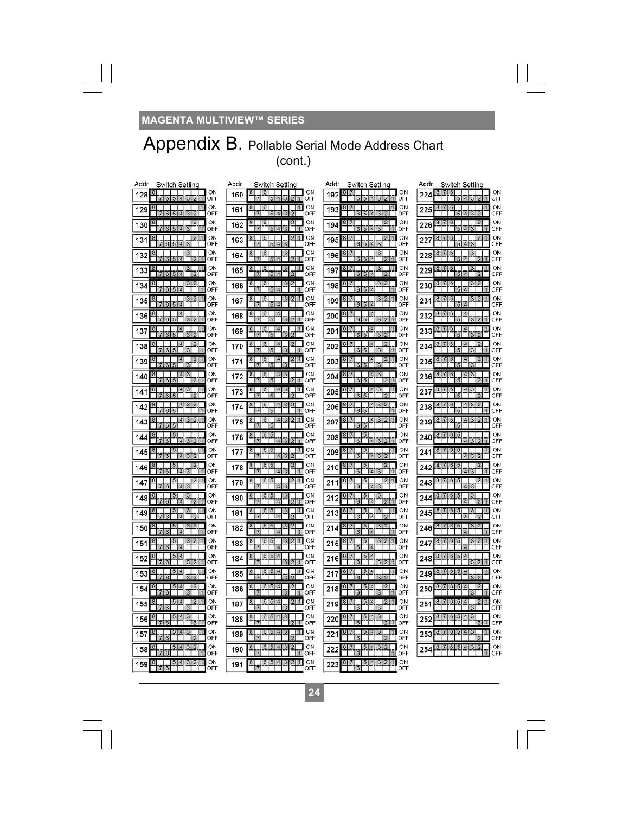$\Box$ 

### Appendix B. Pollable Serial Mode Address Chart (cont.)

| Addr<br>Switch Setting                                                                               | Addr<br>Switch Setting                                                                                    | Addr<br>Switch Setting                                                                                  | Addr<br>Switch Setting                                                                            |
|------------------------------------------------------------------------------------------------------|-----------------------------------------------------------------------------------------------------------|---------------------------------------------------------------------------------------------------------|---------------------------------------------------------------------------------------------------|
| ON<br>18<br>128<br>1<br>OFF<br>5                                                                     | ON<br>8<br>-6<br>160<br>$\overline{4}$<br>ß<br>OFF<br>$\vert$ 1                                           | ON<br>7<br>8<br>192<br>5<br>ß<br>OFF<br>$\mathbf{1}$                                                    | ON<br>8<br>7<br>6<br>224<br>OFF                                                                   |
| ON<br>18<br>11<br>129<br>5<br>$\overline{4}$<br>OFF<br>ß.                                            | ON<br>11<br>8 <sup>2</sup><br>16<br>161<br>$\overline{4}$<br>$\overline{3}$<br>$\overline{2}$<br>OFF<br>5 | ON<br>8<br>$\top$<br>11<br>193<br>$\overline{5}$<br>$\overline{4}$<br>k<br>OFF                          | ON<br>8 7 6<br>1<br>225<br>$\overline{5}$<br>OFF                                                  |
| ON<br>$\overline{2}$<br>18<br>130<br>6 5 4 3<br>OFF<br>11                                            | ON<br>16<br>2<br>162<br>5 4 3<br>OFF<br>$\blacksquare$                                                    | ON<br>121<br>194<br>654<br>ৰ<br>OFF<br>ш                                                                | ON<br>$\overline{2}$<br>8<br>$\top$<br>16<br>226<br>OFF<br>5 4 3<br>и                             |
| ON<br>$\overline{2}$<br>131<br>$6\overline{5}$<br>74<br>OFF<br>$\mathbf{B}$<br>7                     | ON<br>2 1<br>163<br>3<br>514<br>OFF<br>17                                                                 | 2 1 <br>ON<br>195<br>514<br>3<br>OFF<br>6                                                               | ON<br>$\boldsymbol{6}$<br>227<br>OFF<br>$5\overline{ }$<br>$\overline{4}$<br>$\mathbf{3}$         |
| ON<br>$\frac{3}{3}$<br>$\vert 8$<br>132<br>654<br>OFF<br>Ħ<br>$\vert$ 2                              | ON<br>$\mathbf{3}$<br>8<br>$\vert 6 \vert$<br>164<br>OFF<br>$5\vert 4$<br>2 1                             | ON<br>$\mathbf{3}$<br>8<br>196<br>OFF<br>$\overline{6}$<br>514<br>211                                   | ON<br>$\mathbf{3}$<br>8<br>6<br>228<br>OFF<br>同<br>$\overline{A}$                                 |
| ON<br>18<br>з<br>133<br>$\overline{2}$<br>5<br>$\overline{4}$<br>6<br>OFF                            | ON<br>$\overline{\mathbf{3}}$<br>11<br>165<br>$\overline{2}$<br>5 <sub>5</sub><br>$\sqrt{4}$<br>OFF       | ON<br>$\overline{3}$<br>11<br>197<br>$\overline{5}$<br>Γ2T<br>6<br>14<br>OFF                            | ON<br>229<br>5<br>12<br>$\overline{4}$<br>OFF                                                     |
| ON<br>3 2<br>134<br>$\overline{A}$<br>OFF<br>K                                                       | ON<br>$\frac{3}{3}$<br>6<br>21<br>166<br>$\overline{A}$<br>OFF<br>Ш                                       | ON<br>3<br> 2 <br>198<br>OFF<br>$\overline{A}$                                                          | ON<br> 3 <br>$\overline{2}$<br>61<br>230<br>OFF                                                   |
| ON<br>3 2<br>$\blacksquare$<br>18<br>135<br>6 5 4<br>OFF                                             | ON<br>2 1<br>3 <sub>l</sub><br>$\mathbf{g}$<br>16<br>167<br>514<br>OFF                                    | ON<br>3 2 1<br>8<br>7<br>199<br>514<br>6<br>OFF                                                         | ON<br>3 2<br>817<br>16<br>1<br>231<br>OFF<br>5                                                    |
| ON<br>$\vert$ 4<br>8<br>136<br>$3\overline{2}$<br>15<br>OFF<br>6<br>1                                | ON<br>$\vert$ 4<br>8<br>16<br>168<br>3 2 1<br>OFF                                                         | ON<br>14<br>87<br>200<br>3 2 1<br>$\sqrt{5}$<br>OFF<br>6                                                | ON<br>8 7 6<br>$\vert$ 4<br>232<br>5<br>312<br>OFF                                                |
| ON<br>18<br>$\overline{4}$<br>137<br>OFF<br>615<br>312                                               | ON<br><b>14</b><br><b>6</b><br>ш<br>169<br>OFF<br>в<br>з                                                  | ON<br>- 11<br>14<br>201<br>OFF<br>6<br>з<br>$\vert$ 2 $\vert$<br>51                                     | ON<br>6<br>$\overline{4}$<br>п<br>233<br>OFF<br>з                                                 |
| $\overline{2}$<br>ON<br>$\overline{4}$<br>138<br>$6\overline{5}$<br>3<br>$\overline{7}$<br>M.<br>OFF | ON<br>$\vert$ 4<br>170<br>13<br>$\overline{5}$<br>OFF<br>$\mathbf{1}$<br>$\blacksquare$                   | 4<br>ON<br>202<br>65<br>3T1<br>OFF                                                                      | ON<br>$6 \overline{6}$<br>$\vert$ 4<br>234<br>15<br>OFF<br> 3 <br>и                               |
| ON<br>$\overline{4}$<br>$\vert 2 \vert$<br>8<br>-1<br>139<br>OFF<br>65<br> 3                         | ON<br>$\vert 4 \vert$<br>$\sqrt{2}$ 1<br>8 <sub>l</sub><br>16<br>171<br>OFF<br> S <br> 3                  | ON<br>$\vert$ 4<br> 2 1 <br>8<br>203<br>E<br>রা<br>OFF<br> B                                            | ON<br> 6 <br>$\vert$ 4<br>$\vert$ 2<br>8<br>1<br>235<br>OFF<br>ïΞ<br> 3                           |
| ON<br>з<br>18<br>4<br>140<br>$5\overline{5}$<br>$\overline{2}$<br>OFF<br>$\mathbf{1}$                | ON<br>$\vert$ 4<br>3<br>16<br>172<br>$\overline{2}$<br>OFF<br>$\vert$ 1                                   | ON<br>$\overline{4}$<br>3<br>204<br>$\overline{2}$ <sup>1</sup><br>OFF                                  | ON<br>413<br>6<br>236<br>5<br>$\overline{2}$<br>OFF                                               |
| ON<br>$\overline{4}$<br>3<br>8<br>11<br>141<br>OFF                                                   | ON<br>$\vert$ 4<br>3<br>$\vert$ 1<br>6<br>173<br>OFF                                                      | ON<br>$\vert$ 4<br>3<br>- 11<br>8<br>7<br>205<br>OFF                                                    | ON<br>4 3<br>16<br>$\mathcal{I}$<br>237<br>OFF                                                    |
| ON<br>$\overline{4}$<br>3 2<br>18<br>142<br>65<br>OFF<br>M.                                          | ON<br> 4 <br>$\mathbf{3}$<br>$\overline{2}$<br>$\frac{8}{3}$<br>16<br>174<br>51<br>OFF<br>$\vert$ 1       | ON<br>$\boxed{4}$<br>3 2<br>206<br>65<br>OFF<br>- 11                                                    | ON<br>6<br>4 3<br>$\mathbf{2}$<br>$\mathcal{I}$<br>238<br>OFF<br>$\sqrt{5}$                       |
| ON<br>3 2<br>$\vert$<br>143<br>5<br>OFF<br>ß.                                                        | $\vert$ 4<br>2 1<br>ON<br>3 <sub>l</sub><br>175<br>OFF                                                    | ON<br>14<br>3 2 1<br>207<br>$\overline{5}$<br>OFF<br>$\beta$                                            | ON<br>4 3<br>$\mathcal{D}$<br>6<br>239<br>5<br>OFF                                                |
| ON<br>5<br>144<br>OFF<br>$\mathbf{B}$<br>$\boldsymbol{\Lambda}$<br>312<br>$\mathbf{1}$               | ON<br>$\vert 5 \vert$<br>176<br>OFF<br> A <br>31<br>211                                                   | ON<br>208<br>OFF<br>Х<br>ß<br>$\overline{A}$<br>2 1                                                     | ON<br>240<br>OFF<br>$\Delta$<br>$\mathcal{R}$                                                     |
| ON<br>lg<br>145<br>$\overline{4}$<br>17<br>312<br>$6\vert$<br>OFF                                    | ON<br>177<br>9<br>31<br>21<br>$\vert$ 4<br>OFF<br> 7                                                      | ON<br>$\frac{5}{4}$<br>209<br><u>u</u><br>$\overline{3}\overline{2}$<br>$\overline{6}$<br>OFF           | ON<br><u>6</u><br>$\overline{5}$<br>241<br>4372<br>OFF                                            |
| ON<br>$\vert 2 \vert$<br>5<br>1ŏ.<br>146<br>$\overline{A}$<br>$\overline{3}$<br>и<br>OFF<br>$\beta$  | ON<br>6 5 <br>$\overline{2}$<br>8.<br>178<br>OFF<br>Ш                                                     | ON<br> 2 <br>5 <sub>1</sub><br>8<br>$\mathbf{r}$<br>210<br>হ<br>$\overline{A}$<br>OFF<br>$\blacksquare$ | ON<br>$\overline{2}$<br>$6 \overline{\smash{)}5}$<br>242<br>OFF<br>413                            |
| ON<br>$\mathbf{p}$<br>m.<br>18<br>ь<br>147<br>OFF                                                    | ON<br>2 1<br>8<br>16<br>ь<br>179<br>3<br>OFF<br>$\mathbf{A}$                                              | ON<br>2 1 <br>ь<br>211<br>3<br>OFF                                                                      | ON<br>$\overline{2}$<br>1<br>$\epsilon$<br>6<br>lb.<br>243<br>OFF                                 |
| ON<br>$5 \frac{1}{2}$<br>з<br>148<br>OFF<br>$\overline{A}$<br>1                                      | ON<br>3<br>8<br>6<br>180<br>OFF<br>$\overline{A}$<br>211                                                  | ON<br>5<br>3<br>7<br>212<br>OFF<br>$\overline{A}$<br>211                                                | ON<br>3<br>17<br>6<br>- 5<br>244<br>OFF                                                           |
| ON<br>$\sqrt{5}$<br>$\vert 3 \vert$<br>149<br>$ \overline{4} $<br>T2<br>OFF<br>6I                    | ON<br>$\vert 5 \vert$<br>$\mathbf{3}$<br>11<br>6<br>181<br>$\overline{14}$<br>OFF<br>$\overline{2}$       | ON<br>$\overline{3}$<br>5<br>213<br>$\overline{6}$<br>$\overline{2}$<br>OFF<br> 4                       | ON<br>$6\overline{5}$<br>$\mathbf{3}$<br>245<br>$\overline{4}$<br>OFF<br>$\mathbf{p}$             |
| ON<br>5<br>3 2<br>18<br>150<br>$\overline{A}$<br>OFF<br>$6\overline{6}$<br>$\blacksquare$            | 3 2 <br>ON<br>6 5<br>182<br>OFF<br>$\Lambda$<br>$\blacksquare$                                            | 3 2 <br>ON<br>214<br>OFF<br>l 4<br>6<br>.                                                               | ON<br>3<br>2<br>161<br>246<br>OFF<br>$\overline{A}$                                               |
| ON<br>5<br>3 2<br>151<br>OFF<br>61<br>$\mathbf{A}$                                                   | ON<br>31<br>2 1<br>в<br>$5^{\circ}$<br>183<br>OFF<br> A                                                   | ON<br>3 2 1<br>51<br>215<br>OFF<br><b>B</b><br>14                                                       | ON<br>87<br>$6 \mid 5$<br>3<br>247<br>OFF<br>$\overline{A}$                                       |
| ON<br>$\overline{4}$<br>5<br>$\boldsymbol{8}$<br>152<br>$3\overline{2}$<br>1<br>6<br>OFF             | ON<br>514<br>6<br>184<br>$T$ 321<br>OFF                                                                   | ON<br>$\overline{4}$<br>5 <sub>l</sub><br>216<br>3211<br>6<br>OFF                                       | ON<br>$\frac{4}{1}$<br>$\sqrt{5}$<br>$\epsilon$<br>$\overline{6}$<br>248<br>3 <sup>2</sup><br>OFF |
| ON<br>1<br>$\overline{4}$<br>ь<br>153<br>OFF                                                         | 514<br>ON<br>11<br>6<br>185<br>হ<br>Ы<br>OFF                                                              | ON<br>$\overline{4}$<br>11<br>51<br>217<br>$\overline{2}$<br>OFF                                        | ON<br>$\frac{4}{3}$<br>$6 \overline{6}$<br>$\overline{5}$<br>1<br>249<br>OFF                      |
| ON<br>18<br>$\boldsymbol{A}$<br>12<br>154<br>OFF<br>з<br>$_{\mathbf{6}}$<br>$\mathbf{1}$             | ΩN<br>$\overline{2}$<br>8<br>l 4<br>m<br>186<br>3<br>OFF<br>$\blacksquare$                                | ON<br>$\overline{2}$<br>8<br>514<br>218<br>з<br>OFF<br>ß<br>. .                                         | ON<br>$\overline{4}$<br>$\overline{2}$<br>17<br>161<br>15.<br>250<br>OFf<br>зı<br>п               |
| ON<br>$5\overline{5}$<br>$\overline{4}$<br>$\overline{2}$<br>18<br>155<br>з<br>OFF<br>$\mathbb{R}$   | ON<br>514<br>$\overline{2}$<br>$\vert$ 1<br>8<br>6<br>187<br>3<br>OFF                                     | 514<br>ON<br>2 1<br>219<br>з<br>OFF                                                                     | ON<br>6 5<br>$\overline{4}$<br>$\overline{2}$<br>$\mathbf{r}$<br>251<br>OFF<br>$\mathbf{R}$       |
| 3 <sup>1</sup><br>ON<br> 5 <br>$\overline{4}$<br>156<br>OFF<br>121<br>Ħ<br>6                         | $6 \ 5 \ 4$<br>ON<br>3<br>8<br>188<br>OFF<br>$211$                                                        | ON<br>5 4<br>3<br>220<br><b>R</b><br>711<br>OFF                                                         | ON<br>$\overline{\mathbf{3}}$<br>$6 \, 5 \, 4$<br>252<br>OFF<br>$\overline{2}$<br>đ               |
| ON<br>$\overline{4}$<br>3<br>18<br>5<br>157<br>$\mathbf{E}$<br>OFF<br>6                              | ON<br>514<br>3<br>8<br>11<br>б<br>189<br>$\overline{2}$<br>OFF                                            | ON<br>$\overline{4}$<br>3<br>51<br>8<br>221<br> 2 <br>6<br>OFF                                          | ON<br>$\overline{4}$<br>3<br>6<br>8<br>ы<br>253<br>$\overline{12}$<br>OFF                         |
| ON<br>$4 \mid 3 \mid 2$<br>8<br> 5 <br>158<br>OFF<br>R.<br>$\mathbf{1}$                              | ON<br>6 5 4<br>3 <sup>1</sup><br>8<br>$\overline{2}$<br>190<br>OFF<br>$\blacksquare$                      | ON<br>5 4 <br>3 2 <br>817<br>222<br>OFF<br>ß<br>$\blacksquare$                                          | ON<br>8 7 6 5 4 3 2<br>254<br>OFF                                                                 |
| $5 \mid 4 \mid 3 \mid 2$<br>$\blacksquare$<br>ON<br>$\overline{8}$<br>159<br>6<br>OFF                | $6$ 5 4 3 2 1<br>ON<br>8<br>191<br>OFF                                                                    | $5 \, 4 \, 3 \, 2 \, 1$<br>ON<br>$8 \mid 7$<br>223<br>$\overline{6}$<br>OFF                             |                                                                                                   |

**26 24** 

 $\overline{\Gamma}$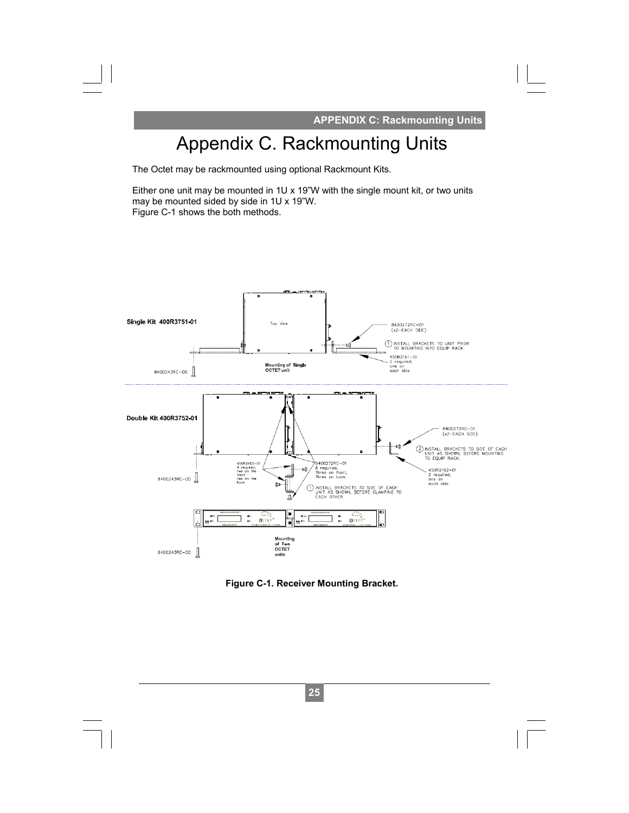**APPENDIX C: Rackmounting Units** 

## Appendix C. Rackmounting Units

The Octet may be rackmounted using optional Rackmount Kits.

Either one unit may be mounted in 1U x 19"W with the single mount kit, or two units may be mounted sided by side in 1U x 19"W. Figure C-1 shows the both methods.



**Figure C-1. Receiver Mounting Bracket.**